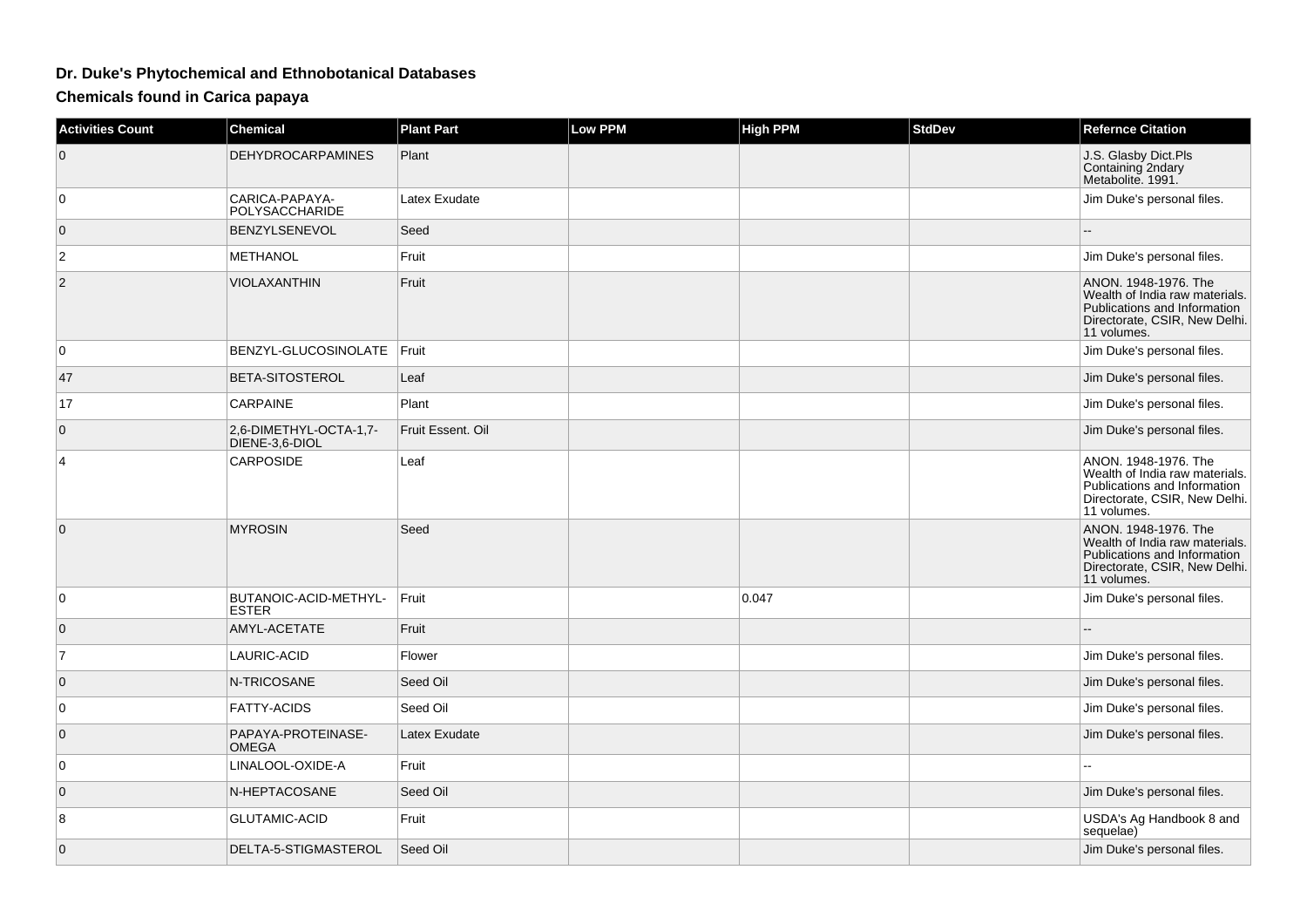## **Dr. Duke's Phytochemical and Ethnobotanical Databases**

**Chemicals found in Carica papaya**

| <b>Activities Count</b> | <b>Chemical</b>                          | <b>Plant Part</b> | <b>Low PPM</b> | <b>High PPM</b> | <b>StdDev</b> | <b>Refernce Citation</b>                                                                                                               |
|-------------------------|------------------------------------------|-------------------|----------------|-----------------|---------------|----------------------------------------------------------------------------------------------------------------------------------------|
| 0                       | <b>DEHYDROCARPAMINES</b>                 | Plant             |                |                 |               | J.S. Glasby Dict.Pls<br>Containing 2ndary<br>Metabolite. 1991.                                                                         |
| 0                       | CARICA-PAPAYA-<br>POLYSACCHARIDE         | Latex Exudate     |                |                 |               | Jim Duke's personal files.                                                                                                             |
| $\overline{0}$          | BENZYLSENEVOL                            | Seed              |                |                 |               | $\overline{a}$                                                                                                                         |
| $\overline{\mathbf{c}}$ | <b>METHANOL</b>                          | Fruit             |                |                 |               | Jim Duke's personal files.                                                                                                             |
| $\overline{2}$          | <b>VIOLAXANTHIN</b>                      | Fruit             |                |                 |               | ANON. 1948-1976. The<br>Wealth of India raw materials.<br>Publications and Information<br>Directorate, CSIR, New Delhi.<br>11 volumes. |
| $\overline{0}$          | BENZYL-GLUCOSINOLATE Fruit               |                   |                |                 |               | Jim Duke's personal files.                                                                                                             |
| 47                      | BETA-SITOSTEROL                          | Leaf              |                |                 |               | Jim Duke's personal files.                                                                                                             |
| 17                      | <b>CARPAINE</b>                          | Plant             |                |                 |               | Jim Duke's personal files.                                                                                                             |
| $\overline{0}$          | 2,6-DIMETHYL-OCTA-1,7-<br>DIENE-3,6-DIOL | Fruit Essent. Oil |                |                 |               | Jim Duke's personal files.                                                                                                             |
| 4                       | <b>CARPOSIDE</b>                         | Leaf              |                |                 |               | ANON. 1948-1976. The<br>Wealth of India raw materials.<br>Publications and Information<br>Directorate, CSIR, New Delhi.<br>11 volumes. |
| $\mathbf 0$             | <b>MYROSIN</b>                           | Seed              |                |                 |               | ANON. 1948-1976. The<br>Wealth of India raw materials.<br>Publications and Information<br>Directorate, CSIR, New Delhi.<br>11 volumes. |
| 0                       | BUTANOIC-ACID-METHYL-<br><b>ESTER</b>    | Fruit             |                | 0.047           |               | Jim Duke's personal files.                                                                                                             |
| $\overline{0}$          | AMYL-ACETATE                             | Fruit             |                |                 |               |                                                                                                                                        |
| $\overline{7}$          | LAURIC-ACID                              | Flower            |                |                 |               | Jim Duke's personal files.                                                                                                             |
| $\mathbf 0$             | N-TRICOSANE                              | Seed Oil          |                |                 |               | Jim Duke's personal files.                                                                                                             |
| $\overline{0}$          | <b>FATTY-ACIDS</b>                       | Seed Oil          |                |                 |               | Jim Duke's personal files.                                                                                                             |
| $\mathbf 0$             | PAPAYA-PROTEINASE-<br><b>OMEGA</b>       | Latex Exudate     |                |                 |               | Jim Duke's personal files.                                                                                                             |
| 0                       | LINALOOL-OXIDE-A                         | Fruit             |                |                 |               |                                                                                                                                        |
| $\mathbf 0$             | N-HEPTACOSANE                            | Seed Oil          |                |                 |               | Jim Duke's personal files.                                                                                                             |
| 8                       | <b>GLUTAMIC-ACID</b>                     | Fruit             |                |                 |               | USDA's Ag Handbook 8 and<br>sequelae)                                                                                                  |
| $\mathbf{0}$            | DELTA-5-STIGMASTEROL                     | Seed Oil          |                |                 |               | Jim Duke's personal files.                                                                                                             |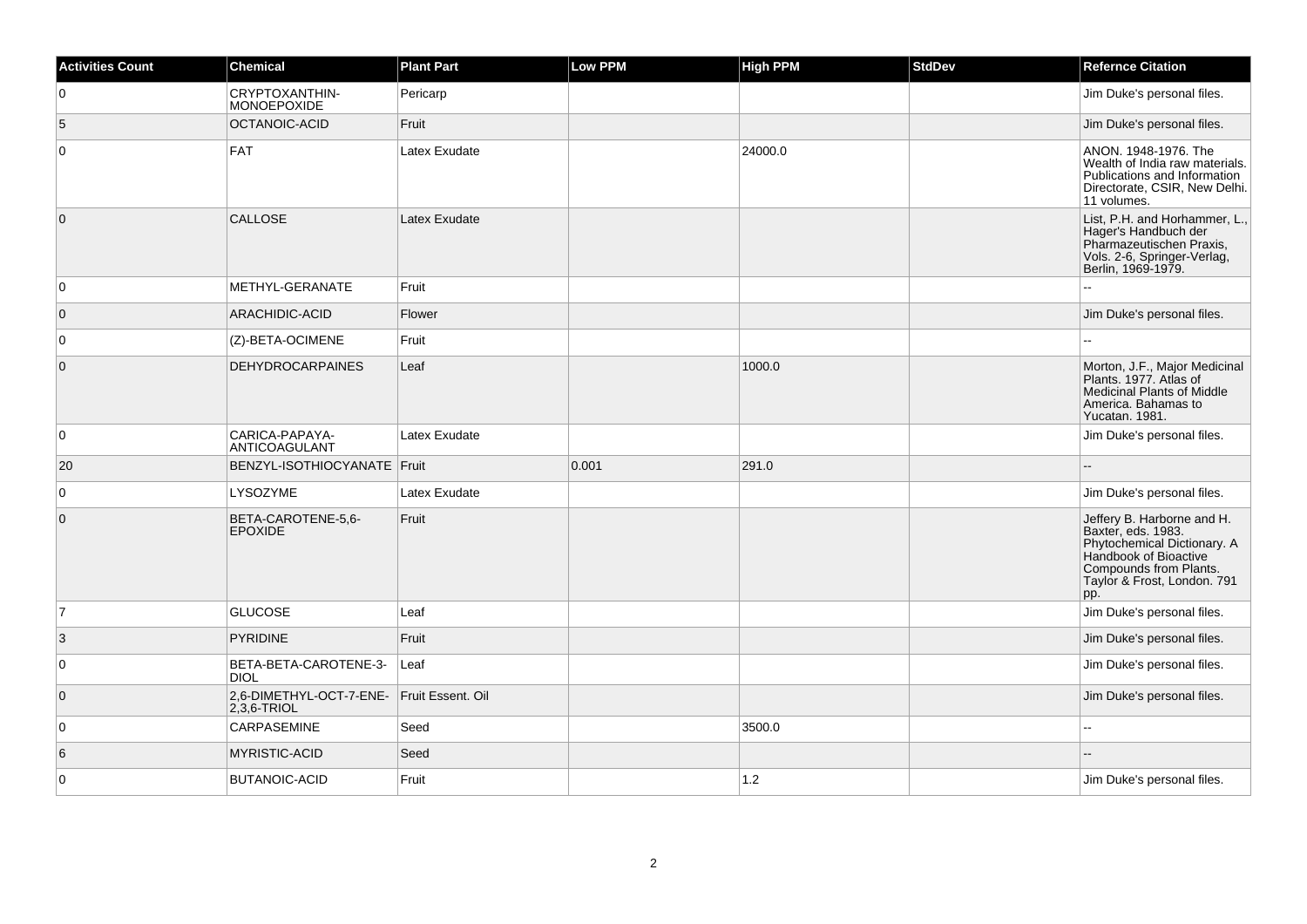| <b>Activities Count</b> | Chemical                                                    | <b>Plant Part</b> | <b>Low PPM</b> | High PPM | <b>StdDev</b> | <b>Refernce Citation</b>                                                                                                                                                 |
|-------------------------|-------------------------------------------------------------|-------------------|----------------|----------|---------------|--------------------------------------------------------------------------------------------------------------------------------------------------------------------------|
| 0                       | CRYPTOXANTHIN-<br>MONOEPOXIDE                               | Pericarp          |                |          |               | Jim Duke's personal files.                                                                                                                                               |
| 5                       | OCTANOIC-ACID                                               | Fruit             |                |          |               | Jim Duke's personal files.                                                                                                                                               |
| $\mathbf 0$             | <b>FAT</b>                                                  | Latex Exudate     |                | 24000.0  |               | ANON. 1948-1976. The<br>Wealth of India raw materials.<br>Publications and Information<br>Directorate, CSIR, New Delhi.<br>11 volumes.                                   |
| $\overline{0}$          | CALLOSE                                                     | Latex Exudate     |                |          |               | List, P.H. and Horhammer, L.,<br>Hager's Handbuch der<br>Pharmazeutischen Praxis,<br>Vols. 2-6, Springer-Verlag,<br>Berlin, 1969-1979.                                   |
| 0                       | METHYL-GERANATE                                             | Fruit             |                |          |               |                                                                                                                                                                          |
| $\overline{0}$          | <b>ARACHIDIC-ACID</b>                                       | Flower            |                |          |               | Jim Duke's personal files.                                                                                                                                               |
| 0                       | (Z)-BETA-OCIMENE                                            | Fruit             |                |          |               |                                                                                                                                                                          |
| $\overline{0}$          | <b>DEHYDROCARPAINES</b>                                     | Leaf              |                | 1000.0   |               | Morton, J.F., Major Medicinal<br>Plants. 1977. Atlas of<br><b>Medicinal Plants of Middle</b><br>America. Bahamas to<br>Yucatan. 1981.                                    |
| 0                       | CARICA-PAPAYA-<br>ANTICOAGULANT                             | Latex Exudate     |                |          |               | Jim Duke's personal files.                                                                                                                                               |
| 20                      | BENZYL-ISOTHIOCYANATE Fruit                                 |                   | 0.001          | 291.0    |               |                                                                                                                                                                          |
| $\mathbf 0$             | LYSOZYME                                                    | Latex Exudate     |                |          |               | Jim Duke's personal files.                                                                                                                                               |
| $\mathbf 0$             | BETA-CAROTENE-5,6-<br><b>EPOXIDE</b>                        | Fruit             |                |          |               | Jeffery B. Harborne and H.<br>Baxter, eds. 1983.<br>Phytochemical Dictionary. A<br>Handbook of Bioactive<br>Compounds from Plants.<br>Taylor & Frost, London. 791<br>pp. |
| 7                       | <b>GLUCOSE</b>                                              | Leaf              |                |          |               | Jim Duke's personal files.                                                                                                                                               |
| 3                       | <b>PYRIDINE</b>                                             | Fruit             |                |          |               | Jim Duke's personal files.                                                                                                                                               |
| $\mathbf 0$             | BETA-BETA-CAROTENE-3-<br><b>DIOL</b>                        | Leaf              |                |          |               | Jim Duke's personal files.                                                                                                                                               |
| $\overline{0}$          | 2,6-DIMETHYL-OCT-7-ENE- Fruit Essent. Oil<br>$2,3,6$ -TRIOL |                   |                |          |               | Jim Duke's personal files.                                                                                                                                               |
| $\mathbf 0$             | CARPASEMINE                                                 | Seed              |                | 3500.0   |               |                                                                                                                                                                          |
| 6                       | <b>MYRISTIC-ACID</b>                                        | Seed              |                |          |               |                                                                                                                                                                          |
| $\mathbf 0$             | <b>BUTANOIC-ACID</b>                                        | Fruit             |                | $1.2$    |               | Jim Duke's personal files.                                                                                                                                               |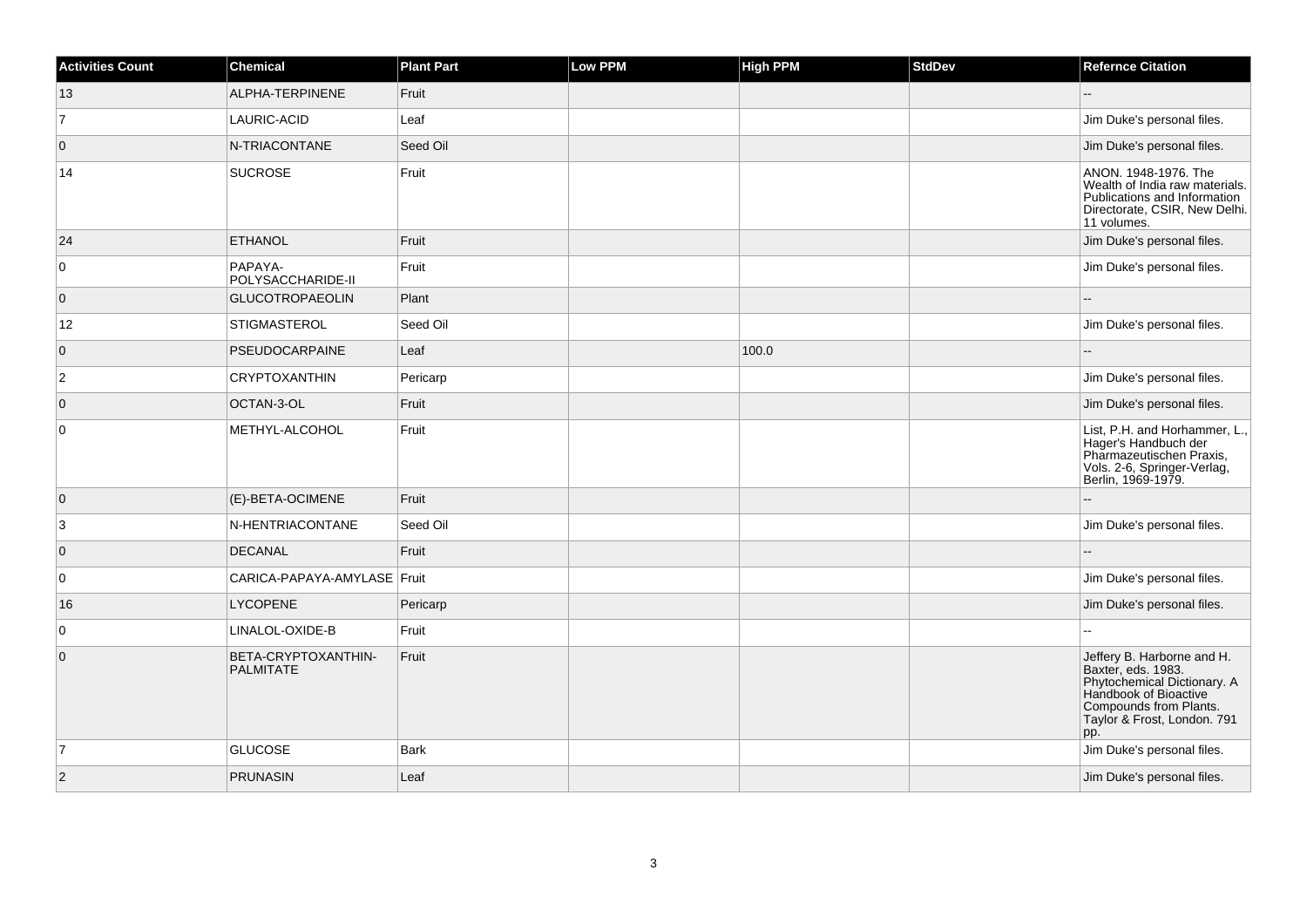| <b>Activities Count</b> | <b>Chemical</b>                         | <b>Plant Part</b> | Low PPM | <b>High PPM</b> | <b>StdDev</b> | <b>Refernce Citation</b>                                                                                                                                                 |
|-------------------------|-----------------------------------------|-------------------|---------|-----------------|---------------|--------------------------------------------------------------------------------------------------------------------------------------------------------------------------|
| 13                      | ALPHA-TERPINENE                         | Fruit             |         |                 |               | $-$                                                                                                                                                                      |
| $\overline{7}$          | LAURIC-ACID                             | Leaf              |         |                 |               | Jim Duke's personal files.                                                                                                                                               |
| $\overline{0}$          | N-TRIACONTANE                           | Seed Oil          |         |                 |               | Jim Duke's personal files.                                                                                                                                               |
| 14                      | <b>SUCROSE</b>                          | Fruit             |         |                 |               | ANON. 1948-1976. The<br>Wealth of India raw materials.<br>Publications and Information<br>Directorate, CSIR, New Delhi.<br>11 volumes.                                   |
| 24                      | <b>ETHANOL</b>                          | Fruit             |         |                 |               | Jim Duke's personal files.                                                                                                                                               |
| $\overline{0}$          | PAPAYA-<br>POLYSACCHARIDE-II            | Fruit             |         |                 |               | Jim Duke's personal files.                                                                                                                                               |
| $\overline{0}$          | <b>GLUCOTROPAEOLIN</b>                  | Plant             |         |                 |               |                                                                                                                                                                          |
| 12                      | STIGMASTEROL                            | Seed Oil          |         |                 |               | Jim Duke's personal files.                                                                                                                                               |
| $\overline{0}$          | PSEUDOCARPAINE                          | Leaf              |         | 100.0           |               | $-$                                                                                                                                                                      |
| $\overline{c}$          | <b>CRYPTOXANTHIN</b>                    | Pericarp          |         |                 |               | Jim Duke's personal files.                                                                                                                                               |
| $\overline{0}$          | OCTAN-3-OL                              | Fruit             |         |                 |               | Jim Duke's personal files.                                                                                                                                               |
| $\overline{0}$          | METHYL-ALCOHOL                          | Fruit             |         |                 |               | List, P.H. and Horhammer, L.,<br>Hager's Handbuch der<br>Pharmazeutischen Praxis,<br>Vols. 2-6, Springer-Verlag,<br>Berlin, 1969-1979.                                   |
| $\overline{0}$          | (E)-BETA-OCIMENE                        | Fruit             |         |                 |               |                                                                                                                                                                          |
| 3                       | N-HENTRIACONTANE                        | Seed Oil          |         |                 |               | Jim Duke's personal files.                                                                                                                                               |
| $\overline{0}$          | <b>DECANAL</b>                          | Fruit             |         |                 |               |                                                                                                                                                                          |
| 0                       | CARICA-PAPAYA-AMYLASE Fruit             |                   |         |                 |               | Jim Duke's personal files.                                                                                                                                               |
| 16                      | <b>LYCOPENE</b>                         | Pericarp          |         |                 |               | Jim Duke's personal files.                                                                                                                                               |
| $\overline{0}$          | LINALOL-OXIDE-B                         | Fruit             |         |                 |               |                                                                                                                                                                          |
| $\overline{0}$          | BETA-CRYPTOXANTHIN-<br><b>PALMITATE</b> | Fruit             |         |                 |               | Jeffery B. Harborne and H.<br>Baxter, eds. 1983.<br>Phytochemical Dictionary. A<br>Handbook of Bioactive<br>Compounds from Plants.<br>Taylor & Frost, London. 791<br>pp. |
| $\overline{7}$          | <b>GLUCOSE</b>                          | <b>Bark</b>       |         |                 |               | Jim Duke's personal files.                                                                                                                                               |
| $\overline{2}$          | <b>PRUNASIN</b>                         | Leaf              |         |                 |               | Jim Duke's personal files.                                                                                                                                               |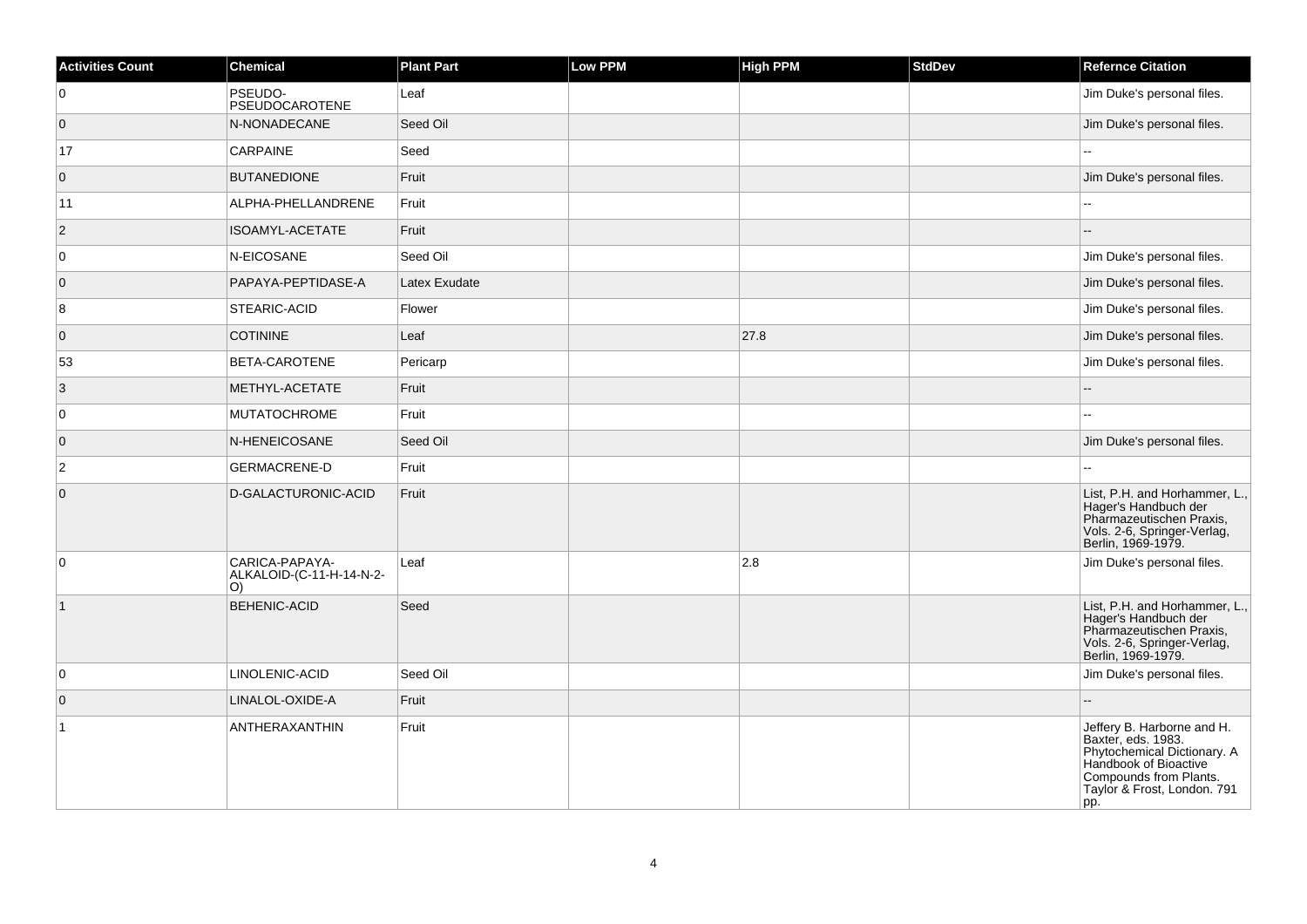| <b>Activities Count</b> | <b>Chemical</b>                                   | <b>Plant Part</b> | <b>Low PPM</b> | <b>High PPM</b> | <b>StdDev</b> | <b>Refernce Citation</b>                                                                                                                                                 |
|-------------------------|---------------------------------------------------|-------------------|----------------|-----------------|---------------|--------------------------------------------------------------------------------------------------------------------------------------------------------------------------|
| 0                       | PSEUDO-<br>PSEUDOCAROTENE                         | Leaf              |                |                 |               | Jim Duke's personal files.                                                                                                                                               |
| $\overline{0}$          | N-NONADECANE                                      | Seed Oil          |                |                 |               | Jim Duke's personal files.                                                                                                                                               |
| 17                      | CARPAINE                                          | Seed              |                |                 |               |                                                                                                                                                                          |
| $\overline{0}$          | <b>BUTANEDIONE</b>                                | Fruit             |                |                 |               | Jim Duke's personal files.                                                                                                                                               |
| 11                      | ALPHA-PHELLANDRENE                                | Fruit             |                |                 |               |                                                                                                                                                                          |
| $\overline{2}$          | <b>ISOAMYL-ACETATE</b>                            | Fruit             |                |                 |               |                                                                                                                                                                          |
| $\overline{0}$          | N-EICOSANE                                        | Seed Oil          |                |                 |               | Jim Duke's personal files.                                                                                                                                               |
| $\overline{0}$          | PAPAYA-PEPTIDASE-A                                | Latex Exudate     |                |                 |               | Jim Duke's personal files.                                                                                                                                               |
| 8                       | STEARIC-ACID                                      | Flower            |                |                 |               | Jim Duke's personal files.                                                                                                                                               |
| $\overline{0}$          | <b>COTININE</b>                                   | Leaf              |                | 27.8            |               | Jim Duke's personal files.                                                                                                                                               |
| 53                      | BETA-CAROTENE                                     | Pericarp          |                |                 |               | Jim Duke's personal files.                                                                                                                                               |
| 3                       | METHYL-ACETATE                                    | Fruit             |                |                 |               |                                                                                                                                                                          |
| $\overline{0}$          | <b>MUTATOCHROME</b>                               | Fruit             |                |                 |               |                                                                                                                                                                          |
| $\overline{0}$          | N-HENEICOSANE                                     | Seed Oil          |                |                 |               | Jim Duke's personal files.                                                                                                                                               |
| $\overline{2}$          | <b>GERMACRENE-D</b>                               | Fruit             |                |                 |               |                                                                                                                                                                          |
| $\overline{0}$          | D-GALACTURONIC-ACID                               | Fruit             |                |                 |               | List, P.H. and Horhammer, L.,<br>Hager's Handbuch der<br>Pharmazeutischen Praxis,<br>Vols. 2-6, Springer-Verlag,<br>Berlin, 1969-1979.                                   |
| $\overline{0}$          | CARICA-PAPAYA-<br>ALKALOID-(C-11-H-14-N-2-<br>O() | Leaf              |                | 2.8             |               | Jim Duke's personal files.                                                                                                                                               |
| $\vert$ 1               | <b>BEHENIC-ACID</b>                               | Seed              |                |                 |               | List, P.H. and Horhammer, L.,<br>Hager's Handbuch der<br>Pharmazeutischen Praxis,<br>Vols. 2-6, Springer-Verlag,<br>Berlin, 1969-1979.                                   |
| $\overline{0}$          | LINOLENIC-ACID                                    | Seed Oil          |                |                 |               | Jim Duke's personal files.                                                                                                                                               |
| $\overline{0}$          | LINALOL-OXIDE-A                                   | Fruit             |                |                 |               | Ξ.                                                                                                                                                                       |
| $\overline{1}$          | ANTHERAXANTHIN                                    | Fruit             |                |                 |               | Jeffery B. Harborne and H.<br>Baxter, eds. 1983.<br>Phytochemical Dictionary. A<br>Handbook of Bioactive<br>Compounds from Plants.<br>Taylor & Frost, London. 791<br>pp. |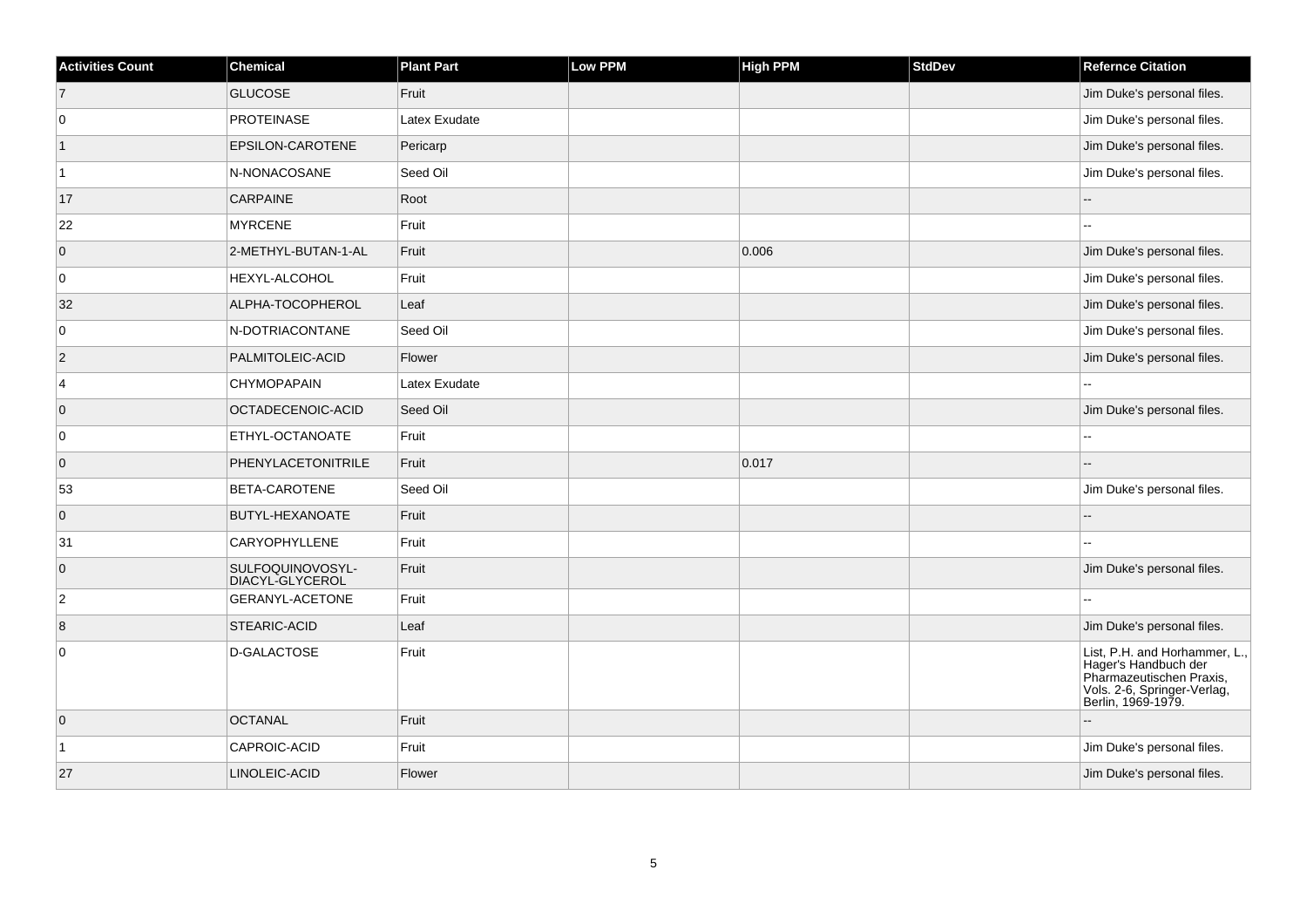| <b>Activities Count</b> | <b>Chemical</b>                     | <b>Plant Part</b> | <b>Low PPM</b> | <b>High PPM</b> | <b>StdDev</b> | <b>Refernce Citation</b>                                                                                                               |
|-------------------------|-------------------------------------|-------------------|----------------|-----------------|---------------|----------------------------------------------------------------------------------------------------------------------------------------|
| $\vert$ 7               | <b>GLUCOSE</b>                      | Fruit             |                |                 |               | Jim Duke's personal files.                                                                                                             |
| $\overline{0}$          | <b>PROTEINASE</b>                   | Latex Exudate     |                |                 |               | Jim Duke's personal files.                                                                                                             |
| $\mathbf 1$             | EPSILON-CAROTENE                    | Pericarp          |                |                 |               | Jim Duke's personal files.                                                                                                             |
| $\overline{1}$          | N-NONACOSANE                        | Seed Oil          |                |                 |               | Jim Duke's personal files.                                                                                                             |
| 17                      | <b>CARPAINE</b>                     | Root              |                |                 |               |                                                                                                                                        |
| 22                      | <b>MYRCENE</b>                      | Fruit             |                |                 |               |                                                                                                                                        |
| $\overline{0}$          | 2-METHYL-BUTAN-1-AL                 | Fruit             |                | 0.006           |               | Jim Duke's personal files.                                                                                                             |
| 0                       | HEXYL-ALCOHOL                       | Fruit             |                |                 |               | Jim Duke's personal files.                                                                                                             |
| 32                      | ALPHA-TOCOPHEROL                    | Leaf              |                |                 |               | Jim Duke's personal files.                                                                                                             |
| $\overline{0}$          | N-DOTRIACONTANE                     | Seed Oil          |                |                 |               | Jim Duke's personal files.                                                                                                             |
| $\overline{2}$          | PALMITOLEIC-ACID                    | Flower            |                |                 |               | Jim Duke's personal files.                                                                                                             |
| 4                       | <b>CHYMOPAPAIN</b>                  | Latex Exudate     |                |                 |               |                                                                                                                                        |
| $\overline{0}$          | OCTADECENOIC-ACID                   | Seed Oil          |                |                 |               | Jim Duke's personal files.                                                                                                             |
| 0                       | ETHYL-OCTANOATE                     | Fruit             |                |                 |               |                                                                                                                                        |
| $\overline{0}$          | PHENYLACETONITRILE                  | Fruit             |                | 0.017           |               |                                                                                                                                        |
| 53                      | BETA-CAROTENE                       | Seed Oil          |                |                 |               | Jim Duke's personal files.                                                                                                             |
| $\overline{0}$          | BUTYL-HEXANOATE                     | Fruit             |                |                 |               |                                                                                                                                        |
| 31                      | <b>CARYOPHYLLENE</b>                | Fruit             |                |                 |               |                                                                                                                                        |
| $\overline{0}$          | SULFOQUINOVOSYL-<br>DIACYL-GLYCEROL | Fruit             |                |                 |               | Jim Duke's personal files.                                                                                                             |
| $\overline{2}$          | <b>GERANYL-ACETONE</b>              | Fruit             |                |                 |               |                                                                                                                                        |
| 8                       | STEARIC-ACID                        | Leaf              |                |                 |               | Jim Duke's personal files.                                                                                                             |
| 0                       | D-GALACTOSE                         | Fruit             |                |                 |               | List, P.H. and Horhammer, L.,<br>Hager's Handbuch der<br>Pharmazeutischen Praxis,<br>Vols. 2-6, Springer-Verlag,<br>Berlin, 1969-1979. |
| $\overline{0}$          | <b>OCTANAL</b>                      | Fruit             |                |                 |               |                                                                                                                                        |
| 1                       | CAPROIC-ACID                        | Fruit             |                |                 |               | Jim Duke's personal files.                                                                                                             |
| 27                      | LINOLEIC-ACID                       | Flower            |                |                 |               | Jim Duke's personal files.                                                                                                             |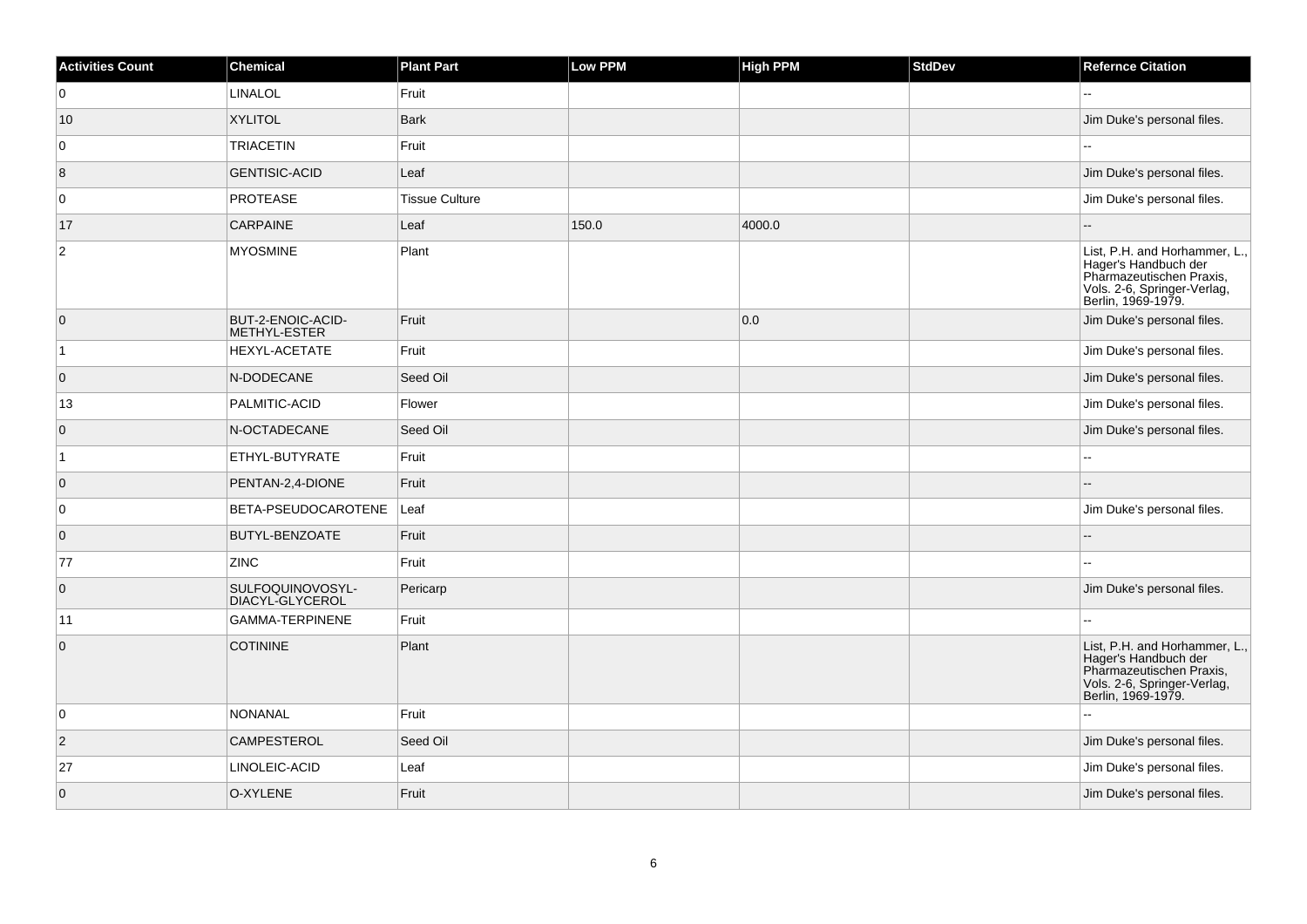| <b>Activities Count</b> | Chemical                            | <b>Plant Part</b>     | Low PPM | <b>High PPM</b> | <b>StdDev</b> | <b>Refernce Citation</b>                                                                                                               |
|-------------------------|-------------------------------------|-----------------------|---------|-----------------|---------------|----------------------------------------------------------------------------------------------------------------------------------------|
| 0                       | <b>LINALOL</b>                      | Fruit                 |         |                 |               |                                                                                                                                        |
| 10                      | <b>XYLITOL</b>                      | <b>Bark</b>           |         |                 |               | Jim Duke's personal files.                                                                                                             |
| $\overline{0}$          | <b>TRIACETIN</b>                    | Fruit                 |         |                 |               |                                                                                                                                        |
| 8                       | <b>GENTISIC-ACID</b>                | Leaf                  |         |                 |               | Jim Duke's personal files.                                                                                                             |
| 0                       | <b>PROTEASE</b>                     | <b>Tissue Culture</b> |         |                 |               | Jim Duke's personal files.                                                                                                             |
| 17                      | <b>CARPAINE</b>                     | Leaf                  | 150.0   | 4000.0          |               |                                                                                                                                        |
| $\overline{2}$          | <b>MYOSMINE</b>                     | Plant                 |         |                 |               | List, P.H. and Horhammer, L.,<br>Hager's Handbuch der<br>Pharmazeutischen Praxis,<br>Vols. 2-6, Springer-Verlag,<br>Berlin, 1969-1979. |
| $\overline{0}$          | BUT-2-ENOIC-ACID-<br>METHYL-ESTER   | Fruit                 |         | 0.0             |               | Jim Duke's personal files.                                                                                                             |
| $\vert$ 1               | HEXYL-ACETATE                       | Fruit                 |         |                 |               | Jim Duke's personal files.                                                                                                             |
| $\overline{0}$          | N-DODECANE                          | Seed Oil              |         |                 |               | Jim Duke's personal files.                                                                                                             |
| 13                      | PALMITIC-ACID                       | Flower                |         |                 |               | Jim Duke's personal files.                                                                                                             |
| $\overline{0}$          | N-OCTADECANE                        | Seed Oil              |         |                 |               | Jim Duke's personal files.                                                                                                             |
| $\overline{1}$          | ETHYL-BUTYRATE                      | Fruit                 |         |                 |               |                                                                                                                                        |
| $\overline{0}$          | PENTAN-2,4-DIONE                    | Fruit                 |         |                 |               |                                                                                                                                        |
| 0                       | BETA-PSEUDOCAROTENE                 | Leaf                  |         |                 |               | Jim Duke's personal files.                                                                                                             |
| $\overline{0}$          | BUTYL-BENZOATE                      | Fruit                 |         |                 |               |                                                                                                                                        |
| 77                      | <b>ZINC</b>                         | Fruit                 |         |                 |               |                                                                                                                                        |
| $\overline{0}$          | SULFOQUINOVOSYL-<br>DIACYL-GLYCEROL | Pericarp              |         |                 |               | Jim Duke's personal files.                                                                                                             |
| 11                      | GAMMA-TERPINENE                     | Fruit                 |         |                 |               |                                                                                                                                        |
| $\overline{0}$          | <b>COTININE</b>                     | Plant                 |         |                 |               | List, P.H. and Horhammer, L.,<br>Hager's Handbuch der<br>Pharmazeutischen Praxis,<br>Vols. 2-6, Springer-Verlag,<br>Berlin, 1969-1979. |
| 0                       | <b>NONANAL</b>                      | Fruit                 |         |                 |               |                                                                                                                                        |
| $\overline{2}$          | <b>CAMPESTEROL</b>                  | Seed Oil              |         |                 |               | Jim Duke's personal files.                                                                                                             |
| 27                      | LINOLEIC-ACID                       | Leaf                  |         |                 |               | Jim Duke's personal files.                                                                                                             |
| $\overline{0}$          | O-XYLENE                            | Fruit                 |         |                 |               | Jim Duke's personal files.                                                                                                             |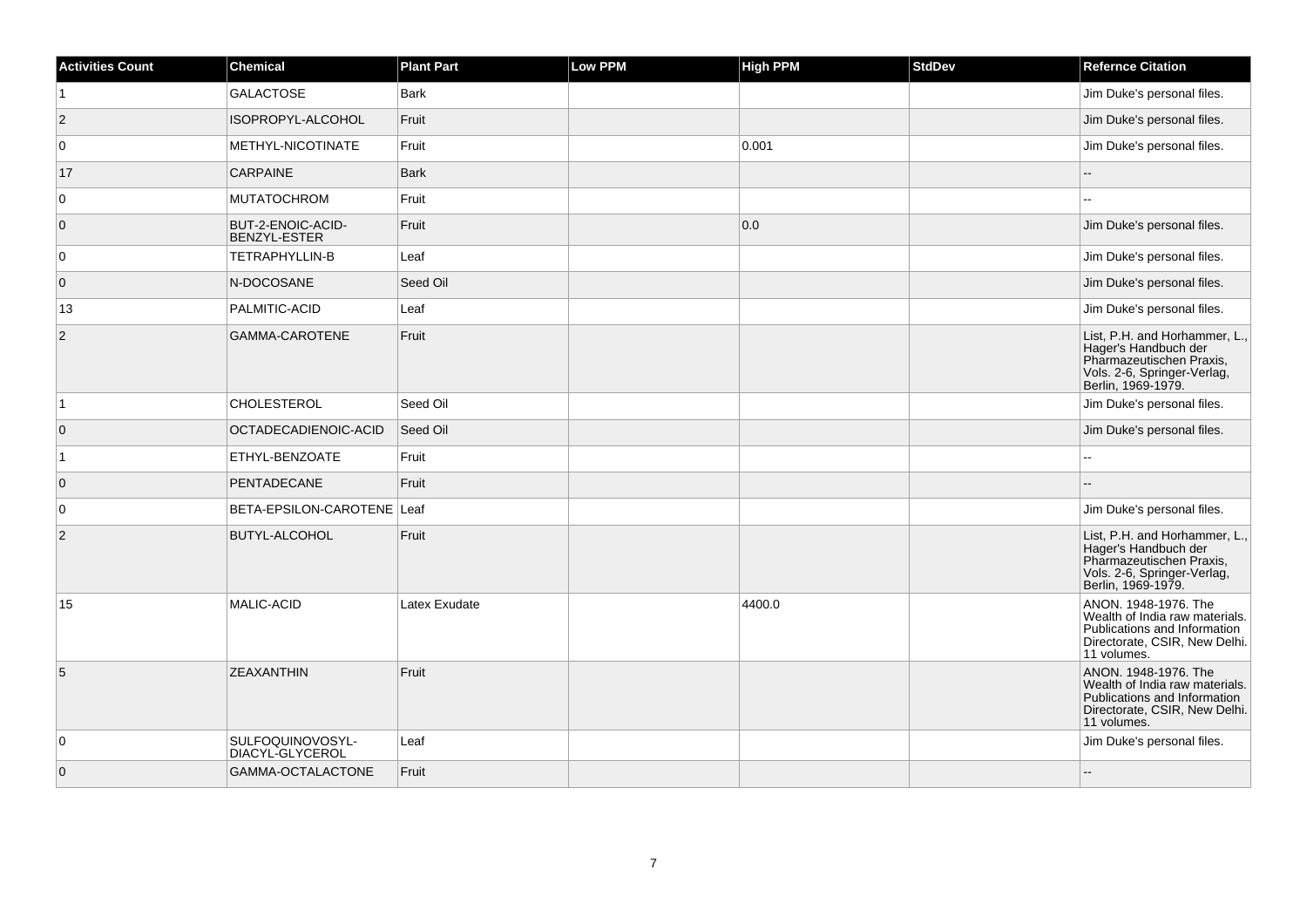| <b>Activities Count</b> | Chemical                            | <b>Plant Part</b> | Low PPM | <b>High PPM</b> | <b>StdDev</b> | <b>Refernce Citation</b>                                                                                                               |
|-------------------------|-------------------------------------|-------------------|---------|-----------------|---------------|----------------------------------------------------------------------------------------------------------------------------------------|
| $\overline{1}$          | <b>GALACTOSE</b>                    | <b>Bark</b>       |         |                 |               | Jim Duke's personal files.                                                                                                             |
| $\overline{2}$          | ISOPROPYL-ALCOHOL                   | Fruit             |         |                 |               | Jim Duke's personal files.                                                                                                             |
| $\overline{0}$          | METHYL-NICOTINATE                   | Fruit             |         | 0.001           |               | Jim Duke's personal files.                                                                                                             |
| 17                      | <b>CARPAINE</b>                     | <b>Bark</b>       |         |                 |               |                                                                                                                                        |
| $\overline{0}$          | <b>MUTATOCHROM</b>                  | Fruit             |         |                 |               |                                                                                                                                        |
| $\overline{0}$          | BUT-2-ENOIC-ACID-<br>BENZYL-ESTER   | Fruit             |         | 0.0             |               | Jim Duke's personal files.                                                                                                             |
| $\overline{0}$          | TETRAPHYLLIN-B                      | Leaf              |         |                 |               | Jim Duke's personal files.                                                                                                             |
| $\overline{0}$          | N-DOCOSANE                          | Seed Oil          |         |                 |               | Jim Duke's personal files.                                                                                                             |
| 13                      | PALMITIC-ACID                       | Leaf              |         |                 |               | Jim Duke's personal files.                                                                                                             |
| 2                       | GAMMA-CAROTENE                      | Fruit             |         |                 |               | List, P.H. and Horhammer, L.,<br>Hager's Handbuch der<br>Pharmazeutischen Praxis,<br>Vols. 2-6, Springer-Verlag,<br>Berlin, 1969-1979. |
| $\mathbf{1}$            | <b>CHOLESTEROL</b>                  | Seed Oil          |         |                 |               | Jim Duke's personal files.                                                                                                             |
| $\overline{0}$          | OCTADECADIENOIC-ACID                | Seed Oil          |         |                 |               | Jim Duke's personal files.                                                                                                             |
| $\vert$ 1               | ETHYL-BENZOATE                      | Fruit             |         |                 |               |                                                                                                                                        |
| $\overline{0}$          | PENTADECANE                         | Fruit             |         |                 |               |                                                                                                                                        |
| $\overline{0}$          | BETA-EPSILON-CAROTENE Leaf          |                   |         |                 |               | Jim Duke's personal files.                                                                                                             |
| $\overline{2}$          | <b>BUTYL-ALCOHOL</b>                | Fruit             |         |                 |               | List, P.H. and Horhammer, L.,<br>Hager's Handbuch der<br>Pharmazeutischen Praxis,<br>Vols. 2-6, Springer-Verlag,<br>Berlin, 1969-1979. |
| 15                      | MALIC-ACID                          | Latex Exudate     |         | 4400.0          |               | ANON. 1948-1976. The<br>Wealth of India raw materials.<br>Publications and Information<br>Directorate, CSIR, New Delhi.<br>11 volumes. |
| 5                       | <b>ZEAXANTHIN</b>                   | Fruit             |         |                 |               | ANON. 1948-1976. The<br>Wealth of India raw materials.<br>Publications and Information<br>Directorate, CSIR, New Delhi.<br>11 volumes. |
| $\overline{0}$          | SULFOQUINOVOSYL-<br>DIACYL-GLYCEROL | Leaf              |         |                 |               | Jim Duke's personal files.                                                                                                             |
| $\overline{0}$          | GAMMA-OCTALACTONE                   | Fruit             |         |                 |               |                                                                                                                                        |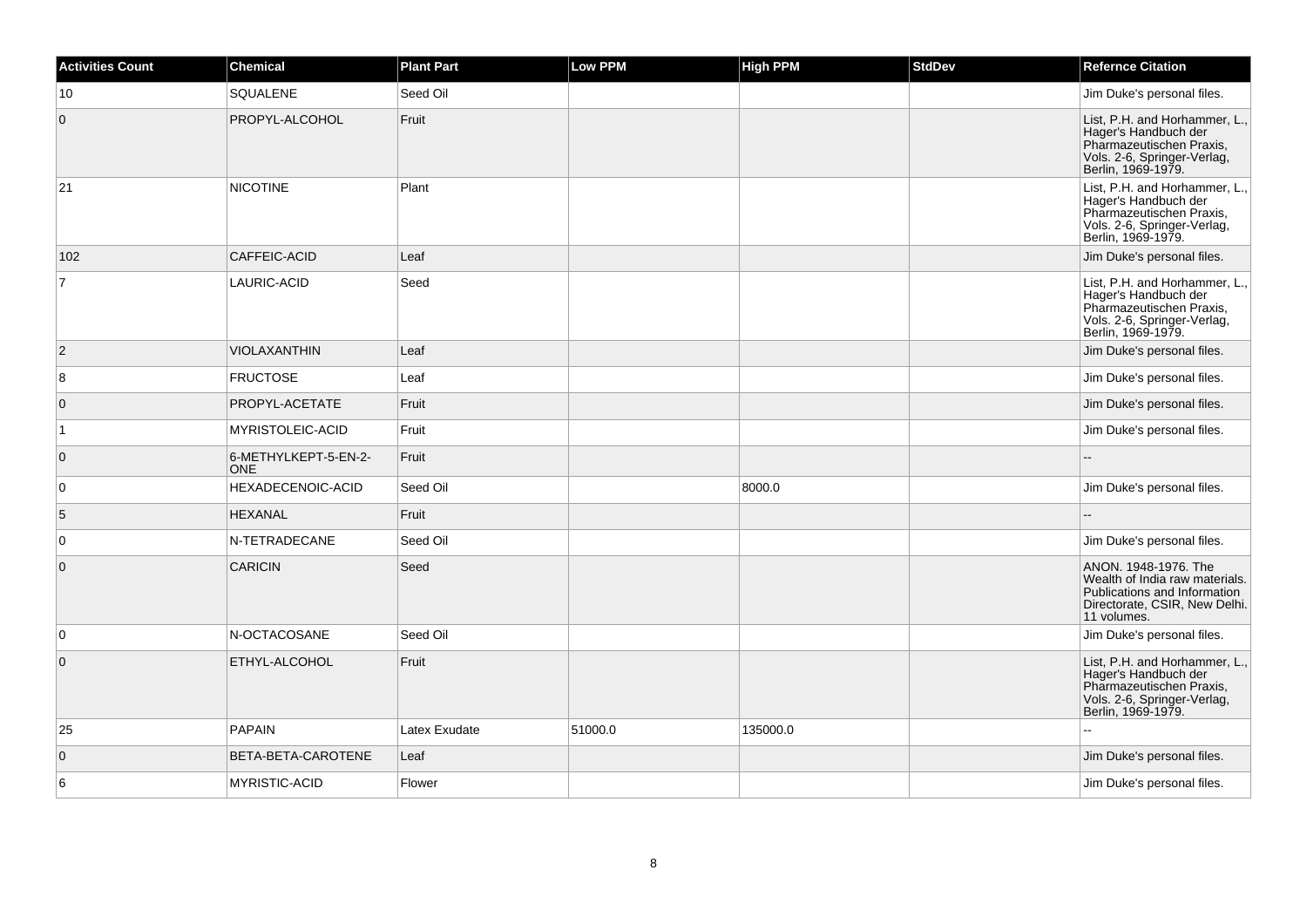| <b>Activities Count</b> | <b>Chemical</b>                    | <b>Plant Part</b> | Low PPM | <b>High PPM</b> | <b>StdDev</b> | <b>Refernce Citation</b>                                                                                                               |
|-------------------------|------------------------------------|-------------------|---------|-----------------|---------------|----------------------------------------------------------------------------------------------------------------------------------------|
| 10                      | SQUALENE                           | Seed Oil          |         |                 |               | Jim Duke's personal files.                                                                                                             |
| $\mathbf 0$             | PROPYL-ALCOHOL                     | Fruit             |         |                 |               | List, P.H. and Horhammer, L.,<br>Hager's Handbuch der<br>Pharmazeutischen Praxis,<br>Vols. 2-6, Springer-Verlag,<br>Berlin, 1969-1979. |
| 21                      | <b>NICOTINE</b>                    | Plant             |         |                 |               | List, P.H. and Horhammer, L.,<br>Hager's Handbuch der<br>Pharmazeutischen Praxis,<br>Vols. 2-6, Springer-Verlag,<br>Berlin, 1969-1979. |
| 102                     | CAFFEIC-ACID                       | Leaf              |         |                 |               | Jim Duke's personal files.                                                                                                             |
| 7                       | LAURIC-ACID                        | Seed              |         |                 |               | List, P.H. and Horhammer, L.,<br>Hager's Handbuch der<br>Pharmazeutischen Praxis,<br>Vols. 2-6, Springer-Verlag,<br>Berlin, 1969-1979. |
| 2                       | <b>VIOLAXANTHIN</b>                | Leaf              |         |                 |               | Jim Duke's personal files.                                                                                                             |
| 8                       | <b>FRUCTOSE</b>                    | Leaf              |         |                 |               | Jim Duke's personal files.                                                                                                             |
| $\overline{0}$          | PROPYL-ACETATE                     | Fruit             |         |                 |               | Jim Duke's personal files.                                                                                                             |
| $\mathbf{1}$            | MYRISTOLEIC-ACID                   | Fruit             |         |                 |               | Jim Duke's personal files.                                                                                                             |
| $\overline{0}$          | 6-METHYLKEPT-5-EN-2-<br><b>ONE</b> | Fruit             |         |                 |               |                                                                                                                                        |
| 0                       | HEXADECENOIC-ACID                  | Seed Oil          |         | 8000.0          |               | Jim Duke's personal files.                                                                                                             |
| 5                       | <b>HEXANAL</b>                     | Fruit             |         |                 |               |                                                                                                                                        |
| $\overline{0}$          | N-TETRADECANE                      | Seed Oil          |         |                 |               | Jim Duke's personal files.                                                                                                             |
| $\mathbf 0$             | <b>CARICIN</b>                     | Seed              |         |                 |               | ANON. 1948-1976. The<br>Wealth of India raw materials.<br>Publications and Information<br>Directorate, CSIR, New Delhi.<br>11 volumes. |
| 0                       | N-OCTACOSANE                       | Seed Oil          |         |                 |               | Jim Duke's personal files.                                                                                                             |
| $\mathbf 0$             | ETHYL-ALCOHOL                      | Fruit             |         |                 |               | List, P.H. and Horhammer, L.,<br>Hager's Handbuch der<br>Pharmazeutischen Praxis,<br>Vols. 2-6, Springer-Verlag,<br>Berlin, 1969-1979. |
| 25                      | <b>PAPAIN</b>                      | Latex Exudate     | 51000.0 | 135000.0        |               | $\sim$                                                                                                                                 |
| $\mathbf{0}$            | BETA-BETA-CAROTENE                 | Leaf              |         |                 |               | Jim Duke's personal files.                                                                                                             |
| 6                       | <b>MYRISTIC-ACID</b>               | Flower            |         |                 |               | Jim Duke's personal files.                                                                                                             |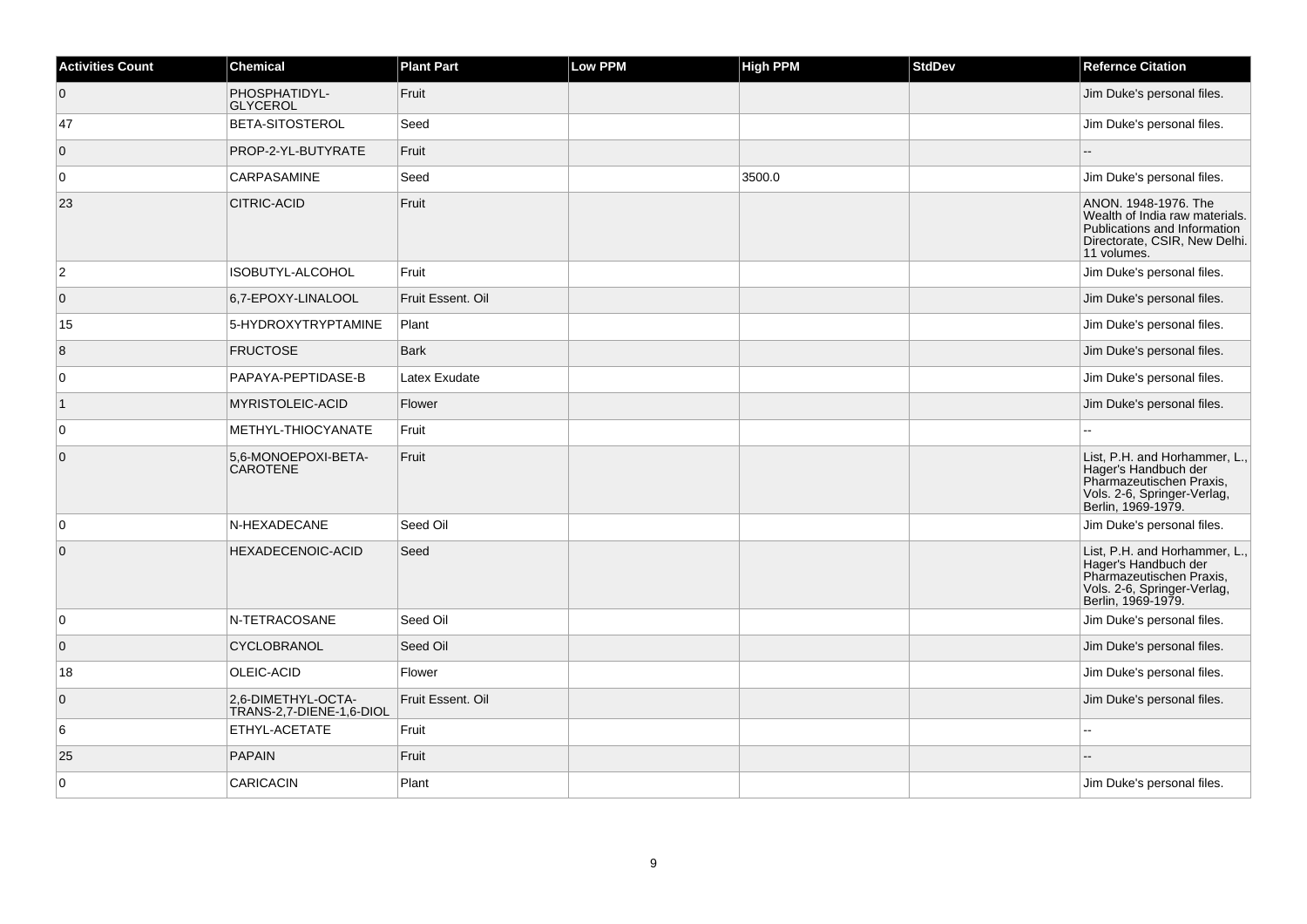| <b>Activities Count</b> | <b>Chemical</b>                                | <b>Plant Part</b> | Low PPM | <b>High PPM</b> | <b>StdDev</b> | <b>Refernce Citation</b>                                                                                                               |
|-------------------------|------------------------------------------------|-------------------|---------|-----------------|---------------|----------------------------------------------------------------------------------------------------------------------------------------|
| $\overline{0}$          | PHOSPHATIDYL-<br><b>GLYCEROL</b>               | Fruit             |         |                 |               | Jim Duke's personal files.                                                                                                             |
| 47                      | BETA-SITOSTEROL                                | Seed              |         |                 |               | Jim Duke's personal files.                                                                                                             |
| $\overline{0}$          | PROP-2-YL-BUTYRATE                             | Fruit             |         |                 |               |                                                                                                                                        |
| 0                       | <b>CARPASAMINE</b>                             | Seed              |         | 3500.0          |               | Jim Duke's personal files.                                                                                                             |
| 23                      | <b>CITRIC-ACID</b>                             | Fruit             |         |                 |               | ANON. 1948-1976. The<br>Wealth of India raw materials.<br>Publications and Information<br>Directorate, CSIR, New Delhi.<br>11 volumes. |
| $ 2\rangle$             | ISOBUTYL-ALCOHOL                               | Fruit             |         |                 |               | Jim Duke's personal files.                                                                                                             |
| $\overline{0}$          | 6,7-EPOXY-LINALOOL                             | Fruit Essent, Oil |         |                 |               | Jim Duke's personal files.                                                                                                             |
| 15                      | 5-HYDROXYTRYPTAMINE                            | Plant             |         |                 |               | Jim Duke's personal files.                                                                                                             |
| 8                       | <b>FRUCTOSE</b>                                | <b>Bark</b>       |         |                 |               | Jim Duke's personal files.                                                                                                             |
| $\overline{0}$          | PAPAYA-PEPTIDASE-B                             | Latex Exudate     |         |                 |               | Jim Duke's personal files.                                                                                                             |
| $\vert$ 1               | MYRISTOLEIC-ACID                               | Flower            |         |                 |               | Jim Duke's personal files.                                                                                                             |
| 0                       | METHYL-THIOCYANATE                             | Fruit             |         |                 |               |                                                                                                                                        |
| $\overline{0}$          | 5.6-MONOEPOXI-BETA-<br><b>CAROTENE</b>         | Fruit             |         |                 |               | List, P.H. and Horhammer, L.,<br>Hager's Handbuch der<br>Pharmazeutischen Praxis,<br>Vols. 2-6, Springer-Verlag,<br>Berlin, 1969-1979. |
| $\overline{0}$          | N-HEXADECANE                                   | Seed Oil          |         |                 |               | Jim Duke's personal files.                                                                                                             |
| $\overline{0}$          | HEXADECENOIC-ACID                              | Seed              |         |                 |               | List, P.H. and Horhammer, L.,<br>Hager's Handbuch der<br>Pharmazeutischen Praxis,<br>Vols. 2-6, Springer-Verlag,<br>Berlin, 1969-1979. |
| $\overline{0}$          | N-TETRACOSANE                                  | Seed Oil          |         |                 |               | Jim Duke's personal files.                                                                                                             |
| $\overline{0}$          | <b>CYCLOBRANOL</b>                             | Seed Oil          |         |                 |               | Jim Duke's personal files.                                                                                                             |
| 18                      | OLEIC-ACID                                     | Flower            |         |                 |               | Jim Duke's personal files.                                                                                                             |
| $\overline{0}$          | 2,6-DIMETHYL-OCTA-<br>TRANS-2,7-DIENE-1,6-DIOL | Fruit Essent. Oil |         |                 |               | Jim Duke's personal files.                                                                                                             |
| 6                       | ETHYL-ACETATE                                  | Fruit             |         |                 |               |                                                                                                                                        |
| 25                      | <b>PAPAIN</b>                                  | Fruit             |         |                 |               |                                                                                                                                        |
| $\overline{0}$          | <b>CARICACIN</b>                               | Plant             |         |                 |               | Jim Duke's personal files.                                                                                                             |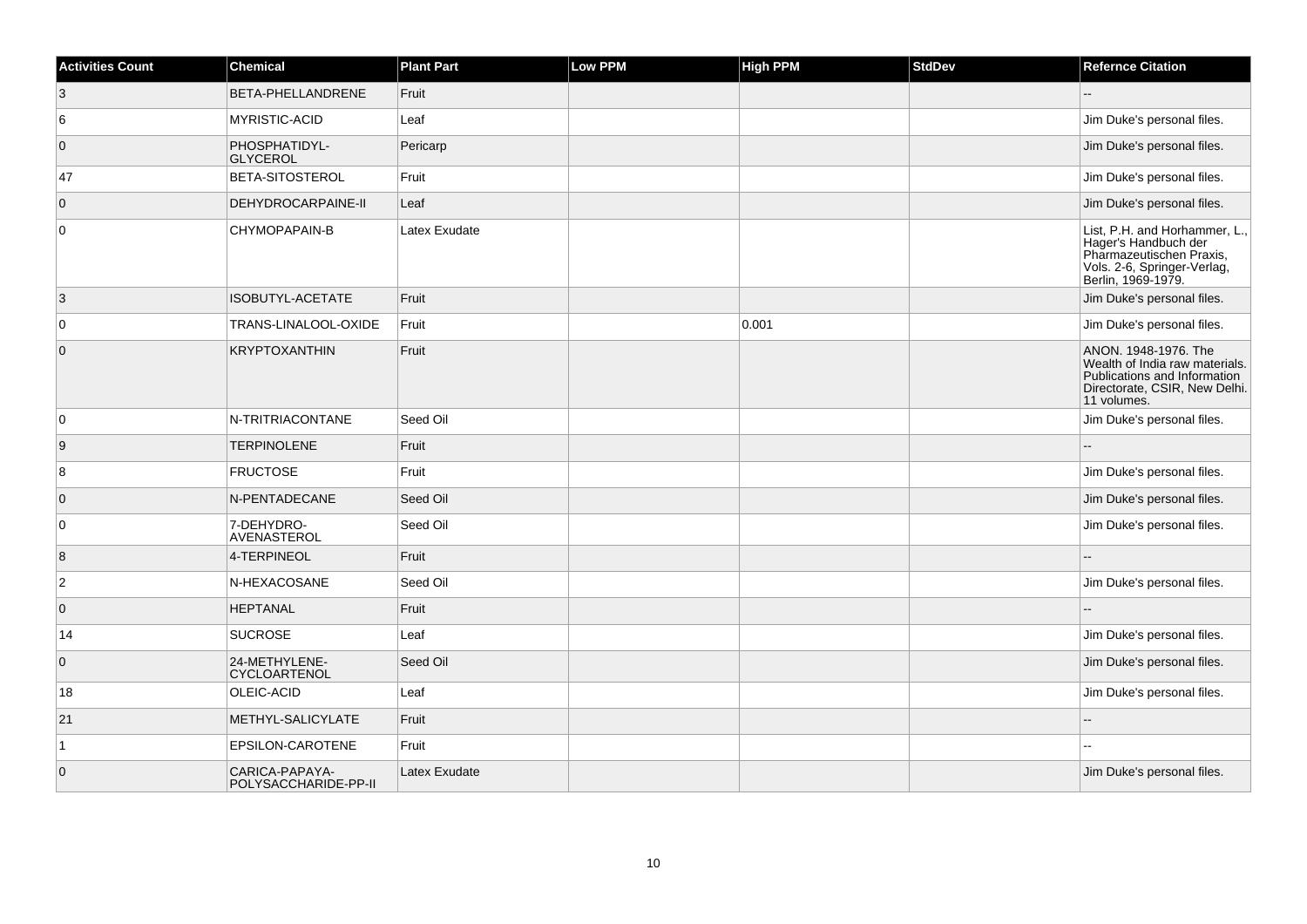| <b>Activities Count</b> | <b>Chemical</b>                        | <b>Plant Part</b> | Low PPM | <b>High PPM</b> | <b>StdDev</b> | <b>Refernce Citation</b>                                                                                                               |
|-------------------------|----------------------------------------|-------------------|---------|-----------------|---------------|----------------------------------------------------------------------------------------------------------------------------------------|
| 3                       | BETA-PHELLANDRENE                      | Fruit             |         |                 |               |                                                                                                                                        |
| 6                       | MYRISTIC-ACID                          | Leaf              |         |                 |               | Jim Duke's personal files.                                                                                                             |
| $\overline{0}$          | PHOSPHATIDYL-<br><b>GLYCEROL</b>       | Pericarp          |         |                 |               | Jim Duke's personal files.                                                                                                             |
| 47                      | <b>BETA-SITOSTEROL</b>                 | Fruit             |         |                 |               | Jim Duke's personal files.                                                                                                             |
| $\overline{0}$          | DEHYDROCARPAINE-II                     | Leaf              |         |                 |               | Jim Duke's personal files.                                                                                                             |
| $\overline{0}$          | CHYMOPAPAIN-B                          | Latex Exudate     |         |                 |               | List, P.H. and Horhammer, L.,<br>Hager's Handbuch der<br>Pharmazeutischen Praxis,<br>Vols. 2-6, Springer-Verlag,<br>Berlin, 1969-1979. |
| 3                       | ISOBUTYL-ACETATE                       | Fruit             |         |                 |               | Jim Duke's personal files.                                                                                                             |
| $\overline{0}$          | TRANS-LINALOOL-OXIDE                   | Fruit             |         | 0.001           |               | Jim Duke's personal files.                                                                                                             |
| $\overline{0}$          | <b>KRYPTOXANTHIN</b>                   | Fruit             |         |                 |               | ANON. 1948-1976. The<br>Wealth of India raw materials.<br>Publications and Information<br>Directorate, CSIR, New Delhi.<br>11 volumes. |
| $\overline{0}$          | N-TRITRIACONTANE                       | Seed Oil          |         |                 |               | Jim Duke's personal files.                                                                                                             |
| 9                       | <b>TERPINOLENE</b>                     | Fruit             |         |                 |               |                                                                                                                                        |
| 8                       | <b>FRUCTOSE</b>                        | Fruit             |         |                 |               | Jim Duke's personal files.                                                                                                             |
| $\overline{0}$          | N-PENTADECANE                          | Seed Oil          |         |                 |               | Jim Duke's personal files.                                                                                                             |
| $\overline{0}$          | 7-DEHYDRO-<br>AVENASTEROL              | Seed Oil          |         |                 |               | Jim Duke's personal files.                                                                                                             |
| 8                       | 4-TERPINEOL                            | Fruit             |         |                 |               |                                                                                                                                        |
| $\overline{2}$          | N-HEXACOSANE                           | Seed Oil          |         |                 |               | Jim Duke's personal files.                                                                                                             |
| $\overline{0}$          | <b>HEPTANAL</b>                        | Fruit             |         |                 |               |                                                                                                                                        |
| 14                      | <b>SUCROSE</b>                         | Leaf              |         |                 |               | Jim Duke's personal files.                                                                                                             |
| $\overline{0}$          | 24-METHYLENE-<br><b>CYCLOARTENOL</b>   | Seed Oil          |         |                 |               | Jim Duke's personal files.                                                                                                             |
| 18                      | OLEIC-ACID                             | Leaf              |         |                 |               | Jim Duke's personal files.                                                                                                             |
| 21                      | METHYL-SALICYLATE                      | Fruit             |         |                 |               |                                                                                                                                        |
| $\overline{1}$          | EPSILON-CAROTENE                       | Fruit             |         |                 |               |                                                                                                                                        |
| $\overline{0}$          | CARICA-PAPAYA-<br>POLYSACCHARIDE-PP-II | Latex Exudate     |         |                 |               | Jim Duke's personal files.                                                                                                             |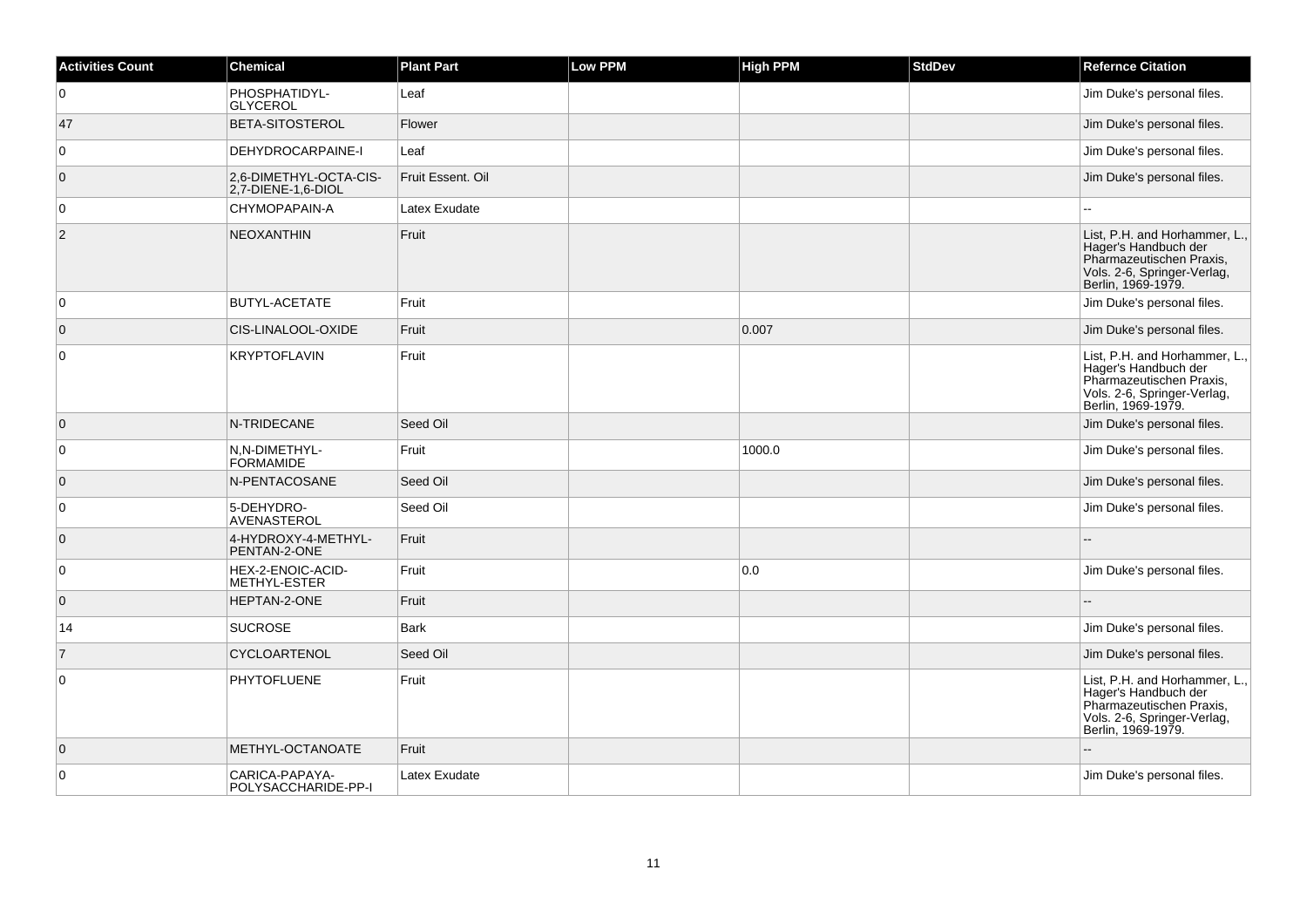| <b>Activities Count</b> | <b>Chemical</b>                              | <b>Plant Part</b> | Low PPM | <b>High PPM</b> | <b>StdDev</b> | <b>Refernce Citation</b>                                                                                                               |
|-------------------------|----------------------------------------------|-------------------|---------|-----------------|---------------|----------------------------------------------------------------------------------------------------------------------------------------|
| $\overline{0}$          | PHOSPHATIDYL-<br><b>GLYCEROL</b>             | Leaf              |         |                 |               | Jim Duke's personal files.                                                                                                             |
| 47                      | <b>BETA-SITOSTEROL</b>                       | Flower            |         |                 |               | Jim Duke's personal files.                                                                                                             |
| $\overline{0}$          | DEHYDROCARPAINE-I                            | Leaf              |         |                 |               | Jim Duke's personal files.                                                                                                             |
| $\overline{0}$          | 2,6-DIMETHYL-OCTA-CIS-<br>2.7-DIENE-1.6-DIOL | Fruit Essent. Oil |         |                 |               | Jim Duke's personal files.                                                                                                             |
| 0                       | CHYMOPAPAIN-A                                | Latex Exudate     |         |                 |               |                                                                                                                                        |
| $\overline{2}$          | <b>NEOXANTHIN</b>                            | Fruit             |         |                 |               | List, P.H. and Horhammer, L.,<br>Hager's Handbuch der<br>Pharmazeutischen Praxis,<br>Vols. 2-6, Springer-Verlag,<br>Berlin, 1969-1979. |
| $\overline{0}$          | BUTYL-ACETATE                                | Fruit             |         |                 |               | Jim Duke's personal files.                                                                                                             |
| $\overline{0}$          | CIS-LINALOOL-OXIDE                           | Fruit             |         | 0.007           |               | Jim Duke's personal files.                                                                                                             |
| $\mathbf 0$             | <b>KRYPTOFLAVIN</b>                          | Fruit             |         |                 |               | List, P.H. and Horhammer, L.,<br>Hager's Handbuch der<br>Pharmazeutischen Praxis,<br>Vols. 2-6, Springer-Verlag,<br>Berlin, 1969-1979. |
| $\overline{0}$          | N-TRIDECANE                                  | Seed Oil          |         |                 |               | Jim Duke's personal files.                                                                                                             |
| $\overline{0}$          | N.N-DIMETHYL-<br><b>FORMAMIDE</b>            | Fruit             |         | 1000.0          |               | Jim Duke's personal files.                                                                                                             |
| $\overline{0}$          | N-PENTACOSANE                                | Seed Oil          |         |                 |               | Jim Duke's personal files.                                                                                                             |
| $\overline{0}$          | 5-DEHYDRO-<br>AVENASTEROL                    | Seed Oil          |         |                 |               | Jim Duke's personal files.                                                                                                             |
| $\overline{0}$          | 4-HYDROXY-4-METHYL-<br>PENTAN-2-ONE          | Fruit             |         |                 |               |                                                                                                                                        |
| 0                       | HEX-2-ENOIC-ACID-<br>METHYL-ESTER            | Fruit             |         | 0.0             |               | Jim Duke's personal files.                                                                                                             |
| $\overline{0}$          | HEPTAN-2-ONE                                 | Fruit             |         |                 |               |                                                                                                                                        |
| 14                      | <b>SUCROSE</b>                               | <b>Bark</b>       |         |                 |               | Jim Duke's personal files.                                                                                                             |
| $\overline{7}$          | CYCLOARTENOL                                 | Seed Oil          |         |                 |               | Jim Duke's personal files.                                                                                                             |
| $\overline{0}$          | <b>PHYTOFLUENE</b>                           | Fruit             |         |                 |               | List, P.H. and Horhammer, L.,<br>Hager's Handbuch der<br>Pharmazeutischen Praxis,<br>Vols. 2-6, Springer-Verlag,<br>Berlin, 1969-1979. |
| $\overline{0}$          | METHYL-OCTANOATE                             | Fruit             |         |                 |               | ÷.                                                                                                                                     |
| $\mathbf 0$             | CARICA-PAPAYA-<br>POLYSACCHARIDE-PP-I        | Latex Exudate     |         |                 |               | Jim Duke's personal files.                                                                                                             |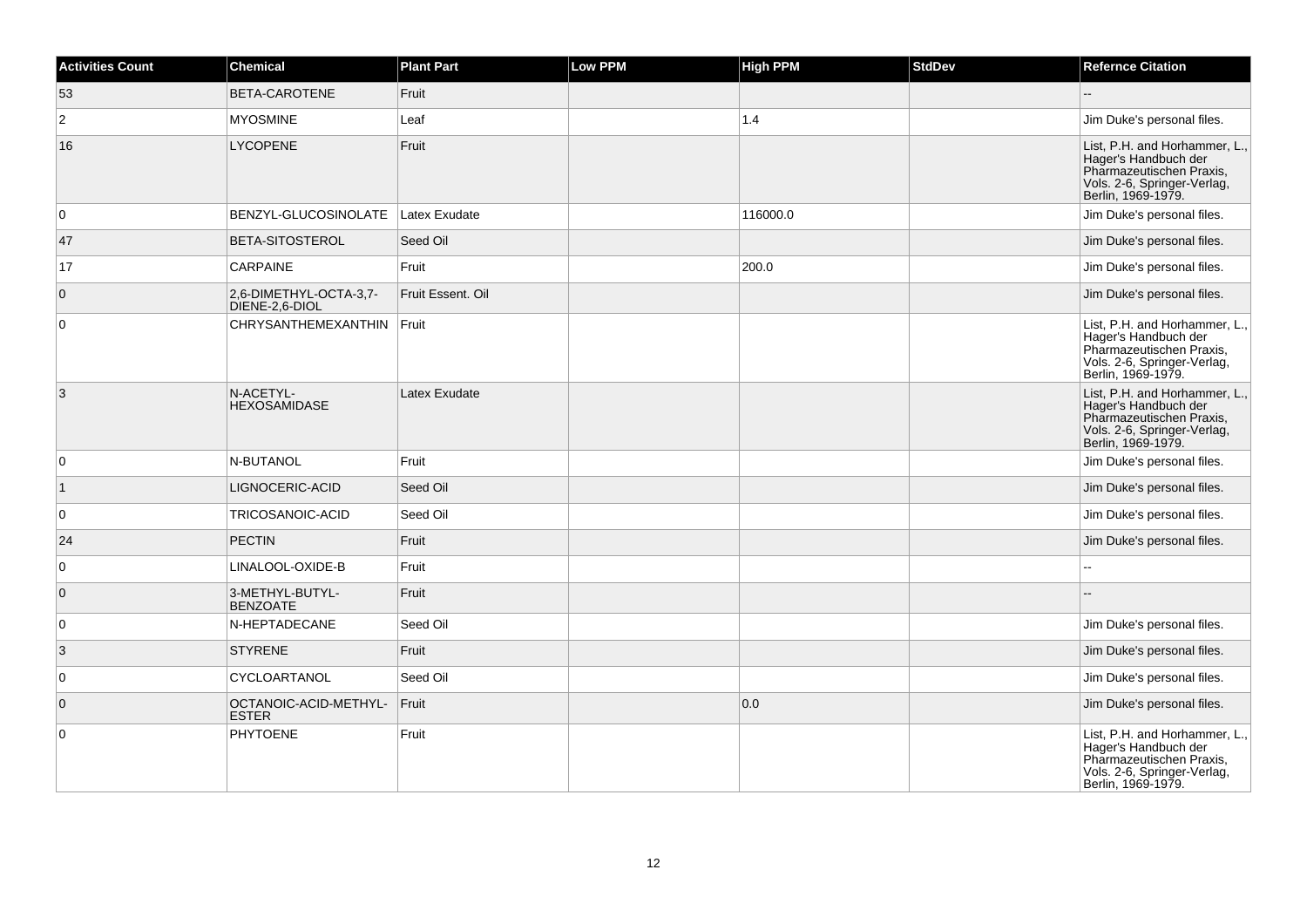| <b>Activities Count</b> | <b>Chemical</b>                          | <b>Plant Part</b> | Low PPM | <b>High PPM</b> | <b>StdDev</b> | <b>Refernce Citation</b>                                                                                                               |
|-------------------------|------------------------------------------|-------------------|---------|-----------------|---------------|----------------------------------------------------------------------------------------------------------------------------------------|
| 53                      | BETA-CAROTENE                            | Fruit             |         |                 |               |                                                                                                                                        |
| $\overline{2}$          | <b>MYOSMINE</b>                          | Leaf              |         | 1.4             |               | Jim Duke's personal files.                                                                                                             |
| 16                      | <b>LYCOPENE</b>                          | Fruit             |         |                 |               | List, P.H. and Horhammer, L.,<br>Hager's Handbuch der<br>Pharmazeutischen Praxis,<br>Vols. 2-6, Springer-Verlag,<br>Berlin, 1969-1979. |
| 0                       | BENZYL-GLUCOSINOLATE                     | Latex Exudate     |         | 116000.0        |               | Jim Duke's personal files.                                                                                                             |
| 47                      | BETA-SITOSTEROL                          | Seed Oil          |         |                 |               | Jim Duke's personal files.                                                                                                             |
| 17                      | CARPAINE                                 | Fruit             |         | 200.0           |               | Jim Duke's personal files.                                                                                                             |
| $\overline{0}$          | 2,6-DIMETHYL-OCTA-3,7-<br>DIENE-2,6-DIOL | Fruit Essent, Oil |         |                 |               | Jim Duke's personal files.                                                                                                             |
| $\overline{0}$          | CHRYSANTHEMEXANTHIN                      | Fruit             |         |                 |               | List, P.H. and Horhammer, L.,<br>Hager's Handbuch der<br>Pharmazeutischen Praxis,<br>Vols. 2-6, Springer-Verlag,<br>Berlin, 1969-1979. |
| 3                       | N-ACETYL-<br><b>HEXOSAMIDASE</b>         | Latex Exudate     |         |                 |               | List, P.H. and Horhammer, L.,<br>Hager's Handbuch der<br>Pharmazeutischen Praxis,<br>Vols. 2-6, Springer-Verlag,<br>Berlin, 1969-1979. |
| 0                       | N-BUTANOL                                | Fruit             |         |                 |               | Jim Duke's personal files.                                                                                                             |
| $\vert$ 1               | LIGNOCERIC-ACID                          | Seed Oil          |         |                 |               | Jim Duke's personal files.                                                                                                             |
| 0                       | TRICOSANOIC-ACID                         | Seed Oil          |         |                 |               | Jim Duke's personal files.                                                                                                             |
| 24                      | <b>PECTIN</b>                            | Fruit             |         |                 |               | Jim Duke's personal files.                                                                                                             |
| $\overline{0}$          | LINALOOL-OXIDE-B                         | Fruit             |         |                 |               | $\overline{\phantom{a}}$                                                                                                               |
| $\overline{0}$          | 3-METHYL-BUTYL-<br><b>BENZOATE</b>       | Fruit             |         |                 |               |                                                                                                                                        |
| 0                       | N-HEPTADECANE                            | Seed Oil          |         |                 |               | Jim Duke's personal files.                                                                                                             |
| 3                       | <b>STYRENE</b>                           | Fruit             |         |                 |               | Jim Duke's personal files.                                                                                                             |
| $\overline{0}$          | CYCLOARTANOL                             | Seed Oil          |         |                 |               | Jim Duke's personal files.                                                                                                             |
| $\overline{0}$          | OCTANOIC-ACID-METHYL-<br><b>ESTER</b>    | Fruit             |         | 0.0             |               | Jim Duke's personal files.                                                                                                             |
| $\overline{0}$          | <b>PHYTOENE</b>                          | Fruit             |         |                 |               | List, P.H. and Horhammer, L.,<br>Hager's Handbuch der<br>Pharmazeutischen Praxis,<br>Vols. 2-6, Springer-Verlag,<br>Berlin, 1969-1979. |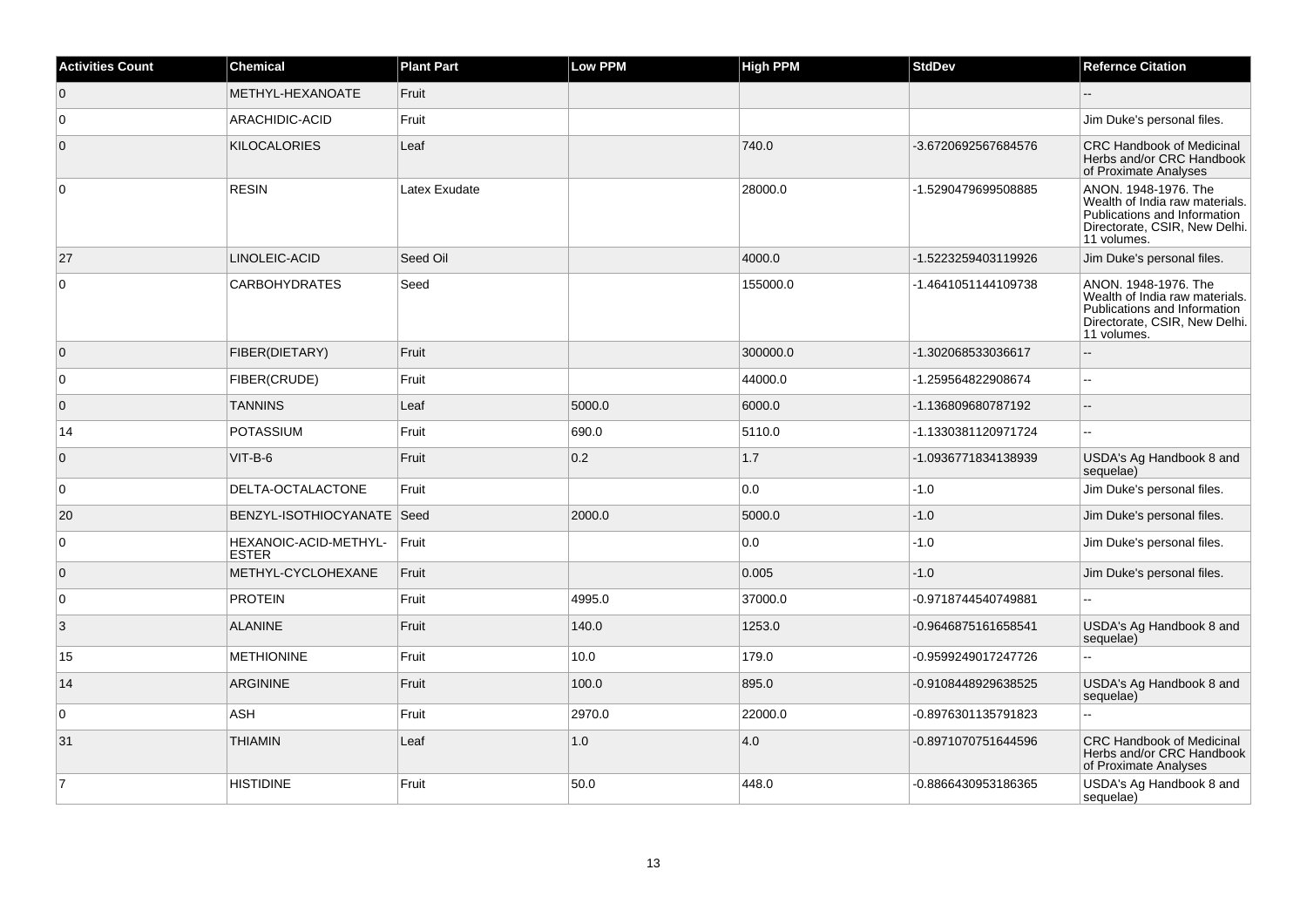| <b>Activities Count</b> | <b>Chemical</b>                       | <b>Plant Part</b> | Low PPM | <b>High PPM</b> | <b>StdDev</b>       | <b>Refernce Citation</b>                                                                                                               |
|-------------------------|---------------------------------------|-------------------|---------|-----------------|---------------------|----------------------------------------------------------------------------------------------------------------------------------------|
| $\overline{0}$          | METHYL-HEXANOATE                      | Fruit             |         |                 |                     |                                                                                                                                        |
| $\overline{0}$          | ARACHIDIC-ACID                        | Fruit             |         |                 |                     | Jim Duke's personal files.                                                                                                             |
| $\overline{0}$          | <b>KILOCALORIES</b>                   | Leaf              |         | 740.0           | -3.6720692567684576 | <b>CRC Handbook of Medicinal</b><br>Herbs and/or CRC Handbook<br>of Proximate Analyses                                                 |
| $\overline{0}$          | <b>RESIN</b>                          | Latex Exudate     |         | 28000.0         | -1.5290479699508885 | ANON. 1948-1976. The<br>Wealth of India raw materials.<br>Publications and Information<br>Directorate, CSIR, New Delhi.<br>11 volumes. |
| 27                      | LINOLEIC-ACID                         | Seed Oil          |         | 4000.0          | -1.5223259403119926 | Jim Duke's personal files.                                                                                                             |
| $\overline{0}$          | <b>CARBOHYDRATES</b>                  | Seed              |         | 155000.0        | -1.4641051144109738 | ANON. 1948-1976. The<br>Wealth of India raw materials.<br>Publications and Information<br>Directorate, CSIR, New Delhi.<br>11 volumes. |
| $\overline{0}$          | FIBER(DIETARY)                        | Fruit             |         | 300000.0        | -1.302068533036617  |                                                                                                                                        |
| $\overline{0}$          | FIBER(CRUDE)                          | Fruit             |         | 44000.0         | -1.259564822908674  | Ξ.                                                                                                                                     |
| $\overline{0}$          | <b>TANNINS</b>                        | Leaf              | 5000.0  | 6000.0          | -1.136809680787192  | $-$                                                                                                                                    |
| 14                      | <b>POTASSIUM</b>                      | Fruit             | 690.0   | 5110.0          | -1.1330381120971724 | L.                                                                                                                                     |
| $\overline{0}$          | $VIT-B-6$                             | Fruit             | 0.2     | 1.7             | -1.0936771834138939 | USDA's Ag Handbook 8 and<br>sequelae)                                                                                                  |
| $\overline{0}$          | DELTA-OCTALACTONE                     | Fruit             |         | 0.0             | $-1.0$              | Jim Duke's personal files.                                                                                                             |
| 20                      | BENZYL-ISOTHIOCYANATE   Seed          |                   | 2000.0  | 5000.0          | $-1.0$              | Jim Duke's personal files.                                                                                                             |
| $\overline{0}$          | HEXANOIC-ACID-METHYL-<br><b>ESTER</b> | Fruit             |         | 0.0             | $-1.0$              | Jim Duke's personal files.                                                                                                             |
| $\overline{0}$          | METHYL-CYCLOHEXANE                    | Fruit             |         | 0.005           | $-1.0$              | Jim Duke's personal files.                                                                                                             |
| $\overline{0}$          | <b>PROTEIN</b>                        | Fruit             | 4995.0  | 37000.0         | -0.9718744540749881 | $\overline{a}$                                                                                                                         |
| $\vert$ 3               | <b>ALANINE</b>                        | Fruit             | 140.0   | 1253.0          | -0.9646875161658541 | USDA's Ag Handbook 8 and<br>sequelae)                                                                                                  |
| 15                      | <b>METHIONINE</b>                     | Fruit             | 10.0    | 179.0           | -0.9599249017247726 | $\overline{a}$                                                                                                                         |
| 14                      | <b>ARGININE</b>                       | Fruit             | 100.0   | 895.0           | -0.9108448929638525 | USDA's Ag Handbook 8 and<br>sequelae)                                                                                                  |
| $\overline{0}$          | <b>ASH</b>                            | Fruit             | 2970.0  | 22000.0         | -0.8976301135791823 |                                                                                                                                        |
| 31                      | <b>THIAMIN</b>                        | Leaf              | 1.0     | 4.0             | -0.8971070751644596 | <b>CRC Handbook of Medicinal</b><br>Herbs and/or CRC Handbook<br>of Proximate Analyses                                                 |
| $\overline{7}$          | <b>HISTIDINE</b>                      | Fruit             | 50.0    | 448.0           | -0.8866430953186365 | USDA's Ag Handbook 8 and<br>sequelae)                                                                                                  |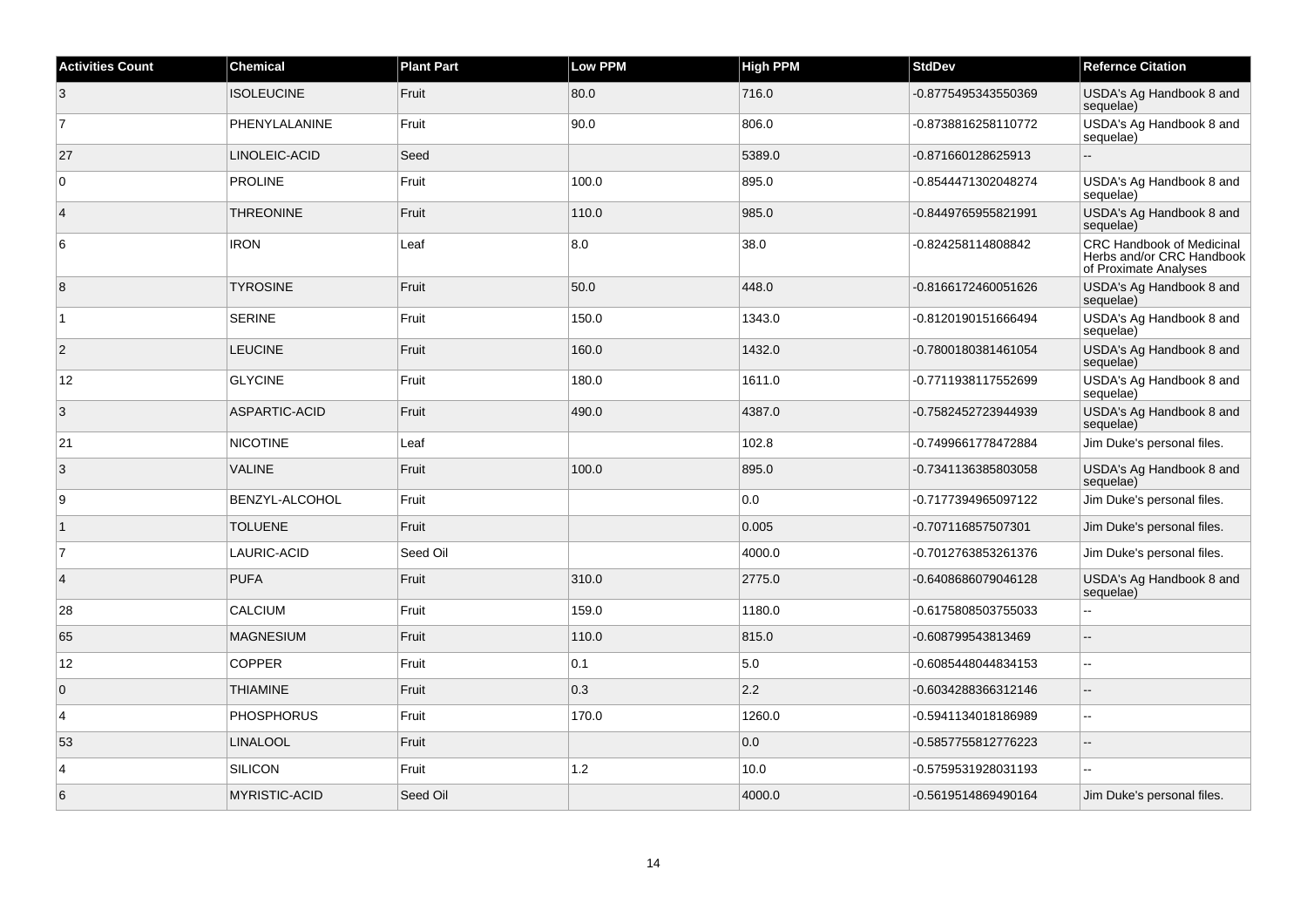| <b>Activities Count</b> | <b>Chemical</b>      | <b>Plant Part</b> | <b>Low PPM</b> | <b>High PPM</b> | <b>StdDev</b>       | <b>Refernce Citation</b>                                                        |
|-------------------------|----------------------|-------------------|----------------|-----------------|---------------------|---------------------------------------------------------------------------------|
| $\mathbf{3}$            | <b>ISOLEUCINE</b>    | Fruit             | 80.0           | 716.0           | -0.8775495343550369 | USDA's Ag Handbook 8 and<br>sequelae)                                           |
| $\overline{7}$          | PHENYLALANINE        | Fruit             | 90.0           | 806.0           | -0.8738816258110772 | USDA's Ag Handbook 8 and<br>sequelae)                                           |
| 27                      | LINOLEIC-ACID        | Seed              |                | 5389.0          | -0.871660128625913  | $\overline{\phantom{a}}$                                                        |
| $\overline{0}$          | <b>PROLINE</b>       | Fruit             | 100.0          | 895.0           | -0.8544471302048274 | USDA's Ag Handbook 8 and<br>sequelae)                                           |
| $\overline{4}$          | <b>THREONINE</b>     | Fruit             | 110.0          | 985.0           | -0.8449765955821991 | USDA's Ag Handbook 8 and<br>sequelae)                                           |
| 6                       | <b>IRON</b>          | Leaf              | 8.0            | 38.0            | -0.824258114808842  | CRC Handbook of Medicinal<br>Herbs and/or CRC Handbook<br>of Proximate Analyses |
| 8                       | <b>TYROSINE</b>      | Fruit             | 50.0           | 448.0           | -0.8166172460051626 | USDA's Ag Handbook 8 and<br>sequelae)                                           |
| $\vert$ 1               | <b>SERINE</b>        | Fruit             | 150.0          | 1343.0          | -0.8120190151666494 | USDA's Ag Handbook 8 and<br>sequelae)                                           |
| $\overline{2}$          | <b>LEUCINE</b>       | Fruit             | 160.0          | 1432.0          | -0.7800180381461054 | USDA's Ag Handbook 8 and<br>sequelae)                                           |
| 12                      | <b>GLYCINE</b>       | Fruit             | 180.0          | 1611.0          | -0.7711938117552699 | USDA's Ag Handbook 8 and<br>sequelae)                                           |
| 3                       | ASPARTIC-ACID        | Fruit             | 490.0          | 4387.0          | -0.7582452723944939 | USDA's Ag Handbook 8 and<br>sequelae)                                           |
| 21                      | <b>NICOTINE</b>      | Leaf              |                | 102.8           | -0.7499661778472884 | Jim Duke's personal files.                                                      |
| 3                       | <b>VALINE</b>        | Fruit             | 100.0          | 895.0           | -0.7341136385803058 | USDA's Ag Handbook 8 and<br>sequelae)                                           |
| 9                       | BENZYL-ALCOHOL       | Fruit             |                | 0.0             | -0.7177394965097122 | Jim Duke's personal files.                                                      |
| $\vert$ 1               | <b>TOLUENE</b>       | Fruit             |                | 0.005           | -0.707116857507301  | Jim Duke's personal files.                                                      |
| $\overline{7}$          | LAURIC-ACID          | Seed Oil          |                | 4000.0          | -0.7012763853261376 | Jim Duke's personal files.                                                      |
| $\overline{4}$          | <b>PUFA</b>          | Fruit             | 310.0          | 2775.0          | -0.6408686079046128 | USDA's Ag Handbook 8 and<br>sequelae)                                           |
| 28                      | <b>CALCIUM</b>       | Fruit             | 159.0          | 1180.0          | -0.6175808503755033 | --                                                                              |
| 65                      | <b>MAGNESIUM</b>     | Fruit             | 110.0          | 815.0           | -0.608799543813469  |                                                                                 |
| 12                      | <b>COPPER</b>        | Fruit             | 0.1            | 5.0             | -0.6085448044834153 | $\sim$ $\sim$                                                                   |
| $\overline{0}$          | <b>THIAMINE</b>      | Fruit             | 0.3            | 2.2             | -0.6034288366312146 | $\overline{a}$                                                                  |
| $\overline{4}$          | <b>PHOSPHORUS</b>    | Fruit             | 170.0          | 1260.0          | -0.5941134018186989 | $\sim$                                                                          |
| 53                      | <b>LINALOOL</b>      | Fruit             |                | 0.0             | -0.5857755812776223 | $\overline{\phantom{a}}$                                                        |
| $\overline{4}$          | SILICON              | Fruit             | $1.2$          | 10.0            | -0.5759531928031193 |                                                                                 |
| 6                       | <b>MYRISTIC-ACID</b> | Seed Oil          |                | 4000.0          | -0.5619514869490164 | Jim Duke's personal files.                                                      |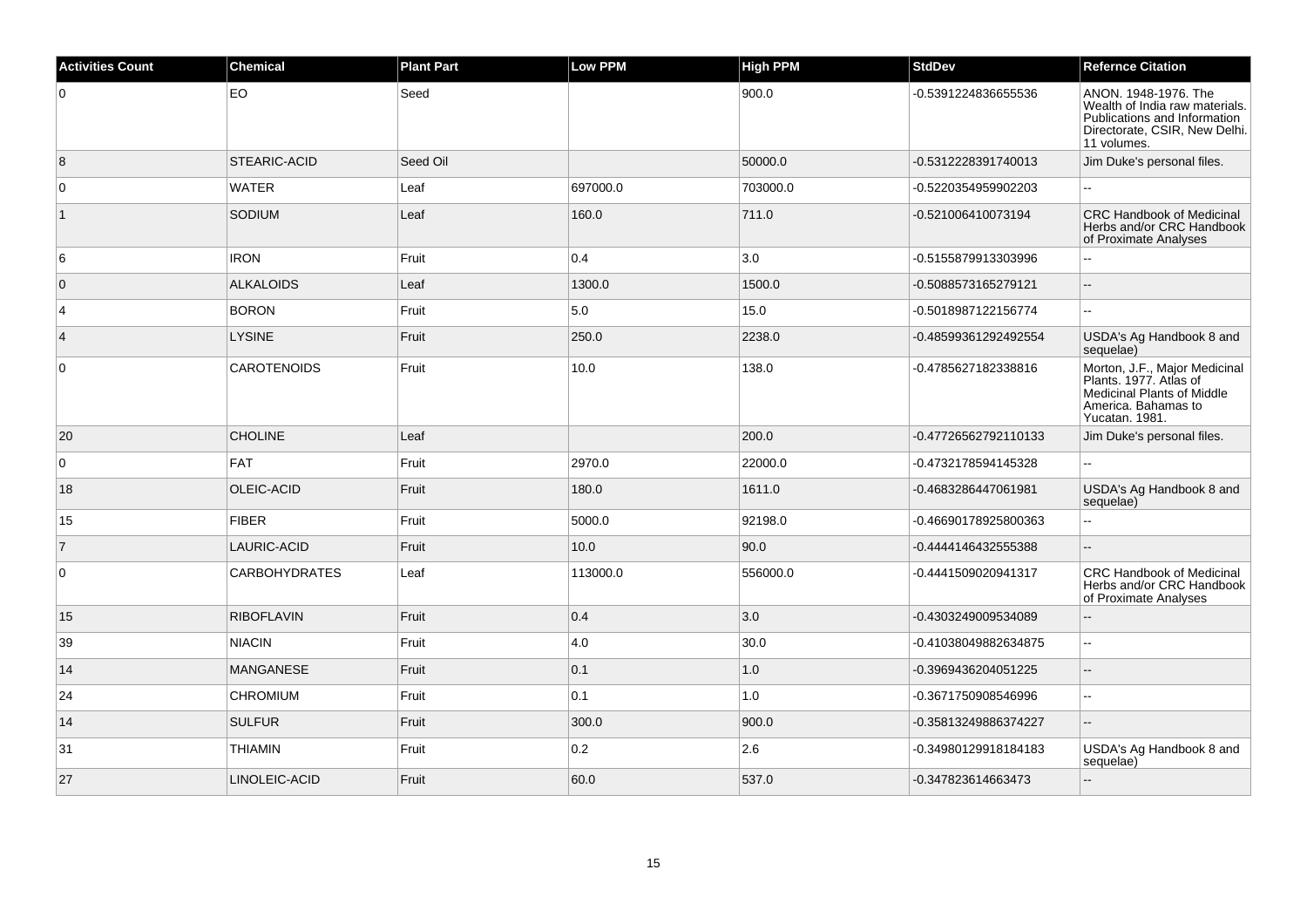| <b>Activities Count</b> | <b>Chemical</b>      | <b>Plant Part</b> | <b>Low PPM</b> | <b>High PPM</b> | <b>StdDev</b>        | <b>Refernce Citation</b>                                                                                                               |
|-------------------------|----------------------|-------------------|----------------|-----------------|----------------------|----------------------------------------------------------------------------------------------------------------------------------------|
| 0                       | EO                   | Seed              |                | 900.0           | -0.5391224836655536  | ANON. 1948-1976. The<br>Wealth of India raw materials.<br>Publications and Information<br>Directorate, CSIR, New Delhi.<br>11 volumes. |
| 8                       | <b>STEARIC-ACID</b>  | Seed Oil          |                | 50000.0         | -0.5312228391740013  | Jim Duke's personal files.                                                                                                             |
| $\mathbf 0$             | <b>WATER</b>         | Leaf              | 697000.0       | 703000.0        | -0.5220354959902203  |                                                                                                                                        |
| $\mathbf{1}$            | SODIUM               | Leaf              | 160.0          | 711.0           | -0.521006410073194   | <b>CRC Handbook of Medicinal</b><br>Herbs and/or CRC Handbook<br>of Proximate Analyses                                                 |
| 6                       | <b>IRON</b>          | Fruit             | 0.4            | 3.0             | -0.5155879913303996  |                                                                                                                                        |
| $\overline{0}$          | <b>ALKALOIDS</b>     | Leaf              | 1300.0         | 1500.0          | -0.5088573165279121  | $\sim$                                                                                                                                 |
| $\overline{4}$          | <b>BORON</b>         | Fruit             | 5.0            | 15.0            | -0.5018987122156774  | $\overline{a}$                                                                                                                         |
| $\overline{4}$          | <b>LYSINE</b>        | Fruit             | 250.0          | 2238.0          | -0.48599361292492554 | USDA's Ag Handbook 8 and<br>sequelae)                                                                                                  |
| $\mathbf 0$             | <b>CAROTENOIDS</b>   | Fruit             | 10.0           | 138.0           | -0.4785627182338816  | Morton, J.F., Major Medicinal<br>Plants. 1977. Atlas of<br><b>Medicinal Plants of Middle</b><br>America. Bahamas to<br>Yucatan. 1981.  |
| 20                      | <b>CHOLINE</b>       | Leaf              |                | 200.0           | -0.47726562792110133 | Jim Duke's personal files.                                                                                                             |
| 0                       | FAT                  | Fruit             | 2970.0         | 22000.0         | -0.4732178594145328  |                                                                                                                                        |
| 18                      | OLEIC-ACID           | Fruit             | 180.0          | 1611.0          | -0.4683286447061981  | USDA's Ag Handbook 8 and<br>sequelae)                                                                                                  |
| 15                      | <b>FIBER</b>         | Fruit             | 5000.0         | 92198.0         | -0.46690178925800363 | ä.                                                                                                                                     |
| 7                       | LAURIC-ACID          | Fruit             | 10.0           | 90.0            | -0.4444146432555388  |                                                                                                                                        |
| 0                       | <b>CARBOHYDRATES</b> | Leaf              | 113000.0       | 556000.0        | -0.4441509020941317  | <b>CRC Handbook of Medicinal</b><br>Herbs and/or CRC Handbook<br>of Proximate Analyses                                                 |
| 15                      | <b>RIBOFLAVIN</b>    | Fruit             | 0.4            | 3.0             | -0.4303249009534089  | $\overline{a}$                                                                                                                         |
| 39                      | <b>NIACIN</b>        | Fruit             | 4.0            | 30.0            | -0.41038049882634875 | $\ddotsc$                                                                                                                              |
| 14                      | <b>MANGANESE</b>     | Fruit             | 0.1            | 1.0             | -0.3969436204051225  | $\overline{\phantom{a}}$                                                                                                               |
| 24                      | <b>CHROMIUM</b>      | Fruit             | 0.1            | 1.0             | -0.3671750908546996  | $\sim$                                                                                                                                 |
| 14                      | <b>SULFUR</b>        | Fruit             | 300.0          | 900.0           | -0.35813249886374227 | $\overline{\phantom{a}}$                                                                                                               |
| 31                      | <b>THIAMIN</b>       | Fruit             | 0.2            | 2.6             | -0.34980129918184183 | USDA's Ag Handbook 8 and<br>sequelae)                                                                                                  |
| 27                      | LINOLEIC-ACID        | Fruit             | 60.0           | 537.0           | -0.347823614663473   | $\overline{\phantom{a}}$                                                                                                               |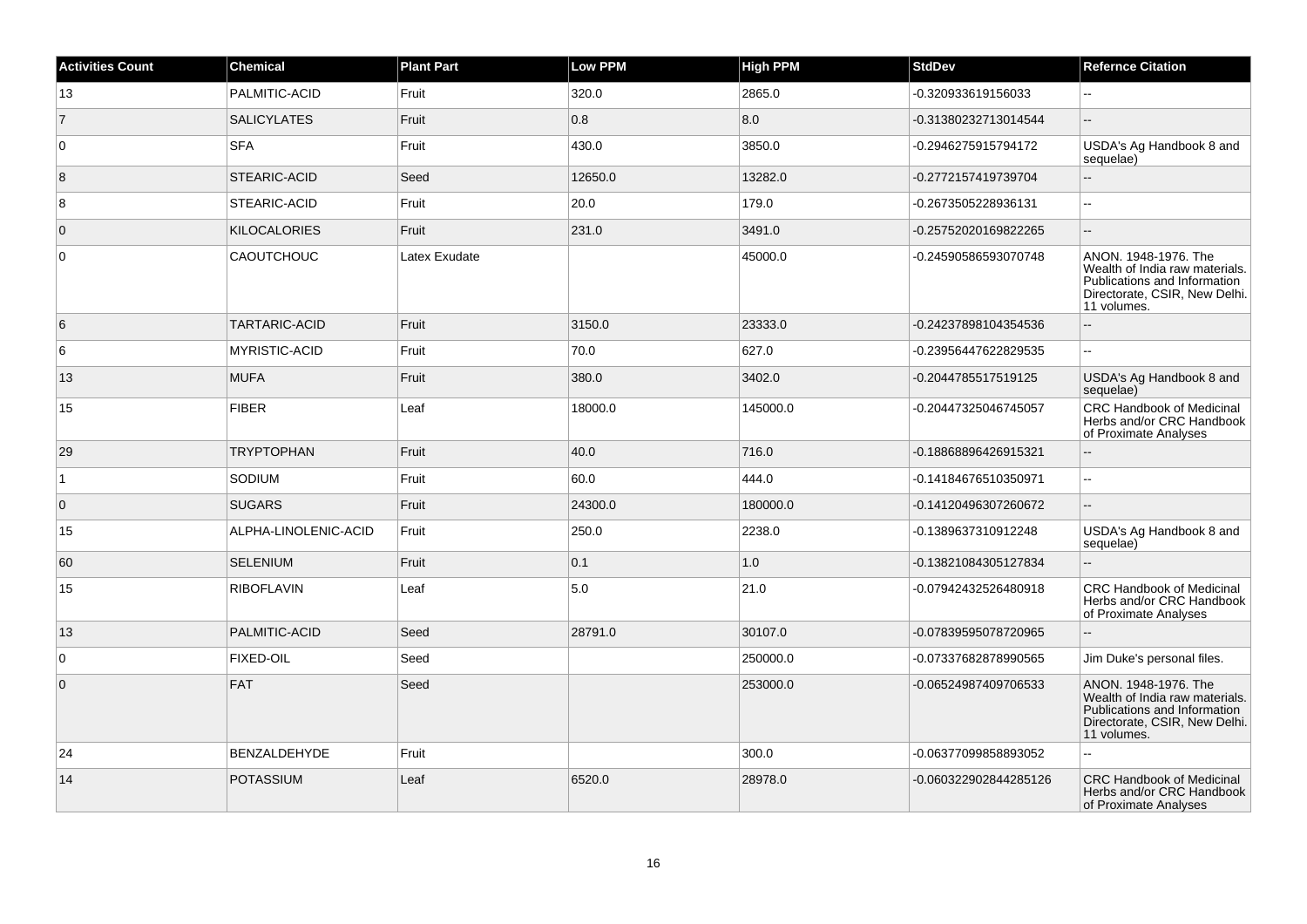| <b>Activities Count</b> | <b>Chemical</b>      | <b>Plant Part</b> | <b>Low PPM</b> | High PPM | <b>StdDev</b>         | <b>Refernce Citation</b>                                                                                                               |
|-------------------------|----------------------|-------------------|----------------|----------|-----------------------|----------------------------------------------------------------------------------------------------------------------------------------|
| 13                      | PALMITIC-ACID        | Fruit             | 320.0          | 2865.0   | -0.320933619156033    |                                                                                                                                        |
| $\overline{7}$          | <b>SALICYLATES</b>   | Fruit             | 0.8            | 8.0      | -0.31380232713014544  | $\mathbf{u}$                                                                                                                           |
| $\overline{0}$          | <b>SFA</b>           | Fruit             | 430.0          | 3850.0   | -0.2946275915794172   | USDA's Ag Handbook 8 and<br>sequelae)                                                                                                  |
| 8                       | STEARIC-ACID         | Seed              | 12650.0        | 13282.0  | -0.2772157419739704   | ÷.                                                                                                                                     |
| 8                       | STEARIC-ACID         | Fruit             | 20.0           | 179.0    | -0.2673505228936131   | $\sim$                                                                                                                                 |
| $\overline{0}$          | <b>KILOCALORIES</b>  | Fruit             | 231.0          | 3491.0   | -0.25752020169822265  | $\mathbf{u}$                                                                                                                           |
| $\overline{0}$          | <b>CAOUTCHOUC</b>    | Latex Exudate     |                | 45000.0  | -0.24590586593070748  | ANON. 1948-1976. The<br>Wealth of India raw materials.<br>Publications and Information<br>Directorate, CSIR, New Delhi.<br>11 volumes. |
| 6                       | <b>TARTARIC-ACID</b> | Fruit             | 3150.0         | 23333.0  | -0.24237898104354536  | $\overline{a}$                                                                                                                         |
| 6                       | MYRISTIC-ACID        | Fruit             | 70.0           | 627.0    | -0.23956447622829535  | $\sim$                                                                                                                                 |
| 13                      | <b>MUFA</b>          | Fruit             | 380.0          | 3402.0   | -0.2044785517519125   | USDA's Ag Handbook 8 and<br>sequelae)                                                                                                  |
| 15                      | <b>FIBER</b>         | Leaf              | 18000.0        | 145000.0 | -0.20447325046745057  | <b>CRC Handbook of Medicinal</b><br>Herbs and/or CRC Handbook<br>of Proximate Analyses                                                 |
| 29                      | <b>TRYPTOPHAN</b>    | Fruit             | 40.0           | 716.0    | -0.18868896426915321  |                                                                                                                                        |
| $\mathbf{1}$            | SODIUM               | Fruit             | 60.0           | 444.0    | -0.14184676510350971  | $\sim$                                                                                                                                 |
| $\overline{0}$          | <b>SUGARS</b>        | Fruit             | 24300.0        | 180000.0 | -0.14120496307260672  | ă.                                                                                                                                     |
| 15                      | ALPHA-LINOLENIC-ACID | Fruit             | 250.0          | 2238.0   | -0.1389637310912248   | USDA's Ag Handbook 8 and<br>sequelae)                                                                                                  |
| 60                      | <b>SELENIUM</b>      | Fruit             | 0.1            | 1.0      | -0.13821084305127834  | L.                                                                                                                                     |
| 15                      | <b>RIBOFLAVIN</b>    | Leaf              | 5.0            | 21.0     | -0.07942432526480918  | <b>CRC Handbook of Medicinal</b><br>Herbs and/or CRC Handbook<br>of Proximate Analyses                                                 |
| 13                      | PALMITIC-ACID        | Seed              | 28791.0        | 30107.0  | -0.07839595078720965  |                                                                                                                                        |
| $\overline{0}$          | <b>FIXED-OIL</b>     | Seed              |                | 250000.0 | -0.07337682878990565  | Jim Duke's personal files.                                                                                                             |
| $\overline{0}$          | FAT                  | Seed              |                | 253000.0 | -0.06524987409706533  | ANON. 1948-1976. The<br>Wealth of India raw materials.<br>Publications and Information<br>Directorate, CSIR, New Delhi.<br>11 volumes. |
| 24                      | <b>BENZALDEHYDE</b>  | Fruit             |                | 300.0    | -0.06377099858893052  | L.                                                                                                                                     |
| 14                      | <b>POTASSIUM</b>     | Leaf              | 6520.0         | 28978.0  | -0.060322902844285126 | <b>CRC Handbook of Medicinal</b><br>Herbs and/or CRC Handbook<br>of Proximate Analyses                                                 |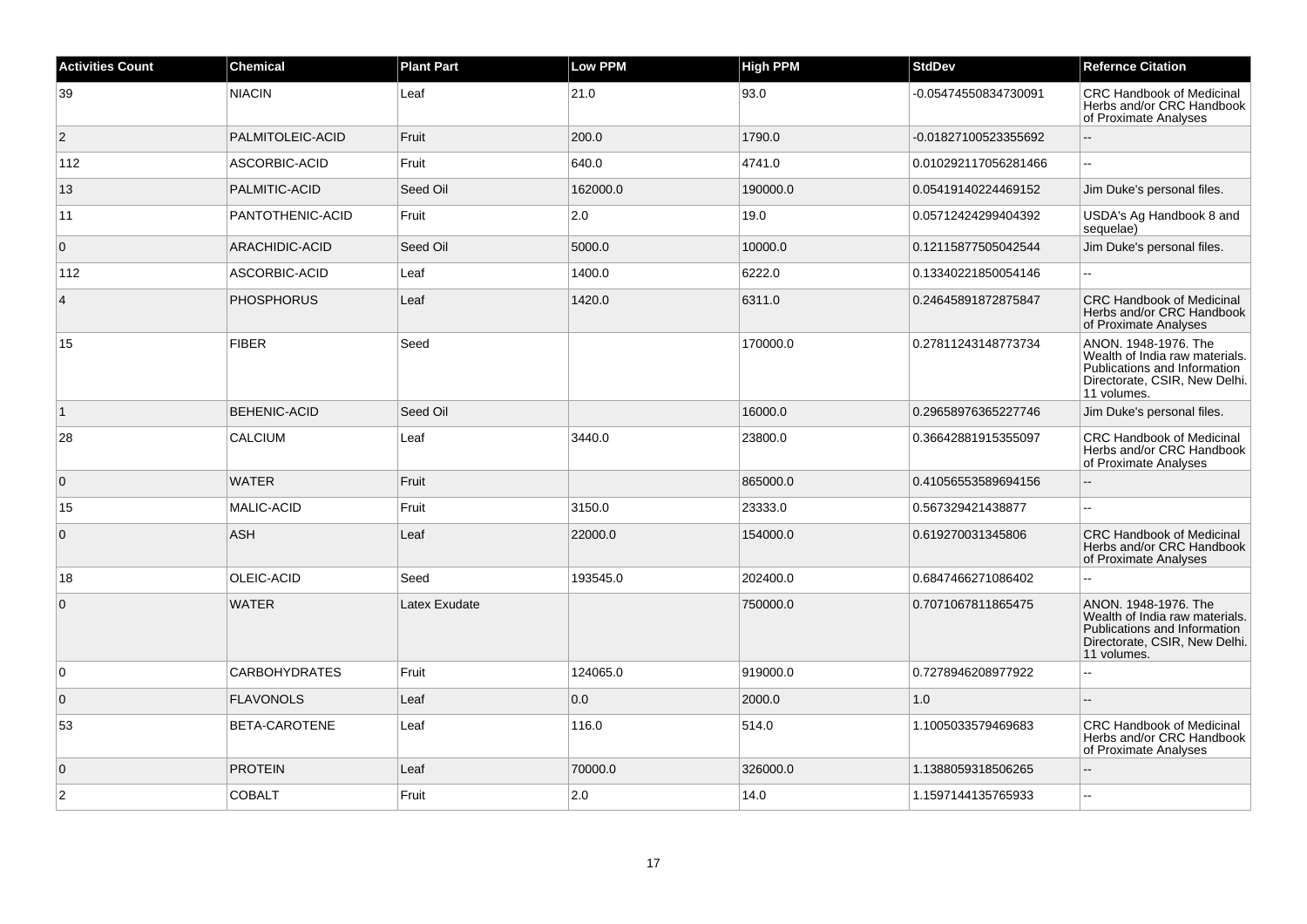| <b>Activities Count</b> | <b>Chemical</b>      | <b>Plant Part</b> | <b>Low PPM</b> | <b>High PPM</b> | <b>StdDev</b>        | <b>Refernce Citation</b>                                                                                                               |
|-------------------------|----------------------|-------------------|----------------|-----------------|----------------------|----------------------------------------------------------------------------------------------------------------------------------------|
| 39                      | <b>NIACIN</b>        | Leaf              | 21.0           | 93.0            | -0.05474550834730091 | CRC Handbook of Medicinal<br>Herbs and/or CRC Handbook<br>of Proximate Analyses                                                        |
| $\overline{c}$          | PALMITOLEIC-ACID     | Fruit             | 200.0          | 1790.0          | -0.01827100523355692 |                                                                                                                                        |
| 112                     | ASCORBIC-ACID        | Fruit             | 640.0          | 4741.0          | 0.010292117056281466 | L.                                                                                                                                     |
| 13                      | PALMITIC-ACID        | Seed Oil          | 162000.0       | 190000.0        | 0.05419140224469152  | Jim Duke's personal files.                                                                                                             |
| 11                      | PANTOTHENIC-ACID     | Fruit             | 2.0            | 19.0            | 0.05712424299404392  | USDA's Ag Handbook 8 and<br>sequelae)                                                                                                  |
| $\mathbf 0$             | ARACHIDIC-ACID       | Seed Oil          | 5000.0         | 10000.0         | 0.12115877505042544  | Jim Duke's personal files.                                                                                                             |
| 112                     | ASCORBIC-ACID        | Leaf              | 1400.0         | 6222.0          | 0.13340221850054146  |                                                                                                                                        |
| $\overline{4}$          | <b>PHOSPHORUS</b>    | Leaf              | 1420.0         | 6311.0          | 0.24645891872875847  | <b>CRC Handbook of Medicinal</b><br>Herbs and/or CRC Handbook<br>of Proximate Analyses                                                 |
| 15                      | <b>FIBER</b>         | Seed              |                | 170000.0        | 0.27811243148773734  | ANON. 1948-1976. The<br>Wealth of India raw materials.<br>Publications and Information<br>Directorate, CSIR, New Delhi.<br>11 volumes. |
| $\vert$ 1               | BEHENIC-ACID         | Seed Oil          |                | 16000.0         | 0.29658976365227746  | Jim Duke's personal files.                                                                                                             |
| 28                      | <b>CALCIUM</b>       | Leaf              | 3440.0         | 23800.0         | 0.36642881915355097  | <b>CRC Handbook of Medicinal</b><br>Herbs and/or CRC Handbook<br>of Proximate Analyses                                                 |
| $\mathbf{0}$            | <b>WATER</b>         | Fruit             |                | 865000.0        | 0.41056553589694156  | Ξ.                                                                                                                                     |
| 15                      | <b>MALIC-ACID</b>    | Fruit             | 3150.0         | 23333.0         | 0.567329421438877    |                                                                                                                                        |
| $\mathbf{0}$            | <b>ASH</b>           | Leaf              | 22000.0        | 154000.0        | 0.619270031345806    | <b>CRC Handbook of Medicinal</b><br>Herbs and/or CRC Handbook<br>of Proximate Analyses                                                 |
| 18                      | OLEIC-ACID           | Seed              | 193545.0       | 202400.0        | 0.6847466271086402   |                                                                                                                                        |
| $\mathbf 0$             | <b>WATER</b>         | Latex Exudate     |                | 750000.0        | 0.7071067811865475   | ANON. 1948-1976. The<br>Wealth of India raw materials.<br>Publications and Information<br>Directorate, CSIR, New Delhi.<br>11 volumes. |
| $\Omega$                | <b>CARBOHYDRATES</b> | Fruit             | 124065.0       | 919000.0        | 0.7278946208977922   | L.                                                                                                                                     |
| $\overline{0}$          | <b>FLAVONOLS</b>     | Leaf              | 0.0            | 2000.0          | 1.0                  |                                                                                                                                        |
| 53                      | BETA-CAROTENE        | Leaf              | 116.0          | 514.0           | 1.1005033579469683   | <b>CRC Handbook of Medicinal</b><br>Herbs and/or CRC Handbook<br>of Proximate Analyses                                                 |
| $\mathbf{0}$            | <b>PROTEIN</b>       | Leaf              | 70000.0        | 326000.0        | 1.1388059318506265   |                                                                                                                                        |
| 2                       | <b>COBALT</b>        | Fruit             | 2.0            | 14.0            | 1.1597144135765933   | $\overline{a}$                                                                                                                         |